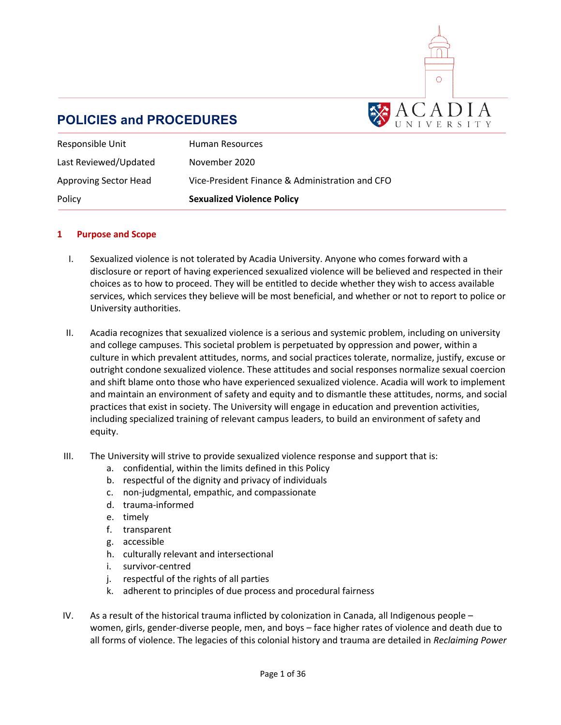

# **POLICIES and PROCEDURES**

| Responsible Unit      | Human Resources                                 |
|-----------------------|-------------------------------------------------|
| Last Reviewed/Updated | November 2020                                   |
| Approving Sector Head | Vice-President Finance & Administration and CFO |
| Policy                | <b>Sexualized Violence Policy</b>               |

### **1 Purpose and Scope**

- I. Sexualized violence is not tolerated by Acadia University. Anyone who comes forward with a disclosure or report of having experienced sexualized violence will be believed and respected in their choices as to how to proceed. They will be entitled to decide whether they wish to access available services, which services they believe will be most beneficial, and whether or not to report to police or University authorities.
- II. Acadia recognizes that sexualized violence is a serious and systemic problem, including on university and college campuses. This societal problem is perpetuated by oppression and power, within a culture in which prevalent attitudes, norms, and social practices tolerate, normalize, justify, excuse or outright condone sexualized violence. These attitudes and social responses normalize sexual coercion and shift blame onto those who have experienced sexualized violence. Acadia will work to implement and maintain an environment of safety and equity and to dismantle these attitudes, norms, and social practices that exist in society. The University will engage in education and prevention activities, including specialized training of relevant campus leaders, to build an environment of safety and equity.
- III. The University will strive to provide sexualized violence response and support that is:
	- a. confidential, within the limits defined in this Policy
	- b. respectful of the dignity and privacy of individuals
	- c. non-judgmental, empathic, and compassionate
	- d. trauma-informed
	- e. timely
	- f. transparent
	- g. accessible
	- h. culturally relevant and intersectional
	- i. survivor-centred
	- j. respectful of the rights of all parties
	- k. adherent to principles of due process and procedural fairness
- IV. As a result of the historical trauma inflicted by colonization in Canada, all Indigenous people women, girls, gender-diverse people, men, and boys – face higher rates of violence and death due to all forms of violence. The legacies of this colonial history and trauma are detailed in *Reclaiming Power*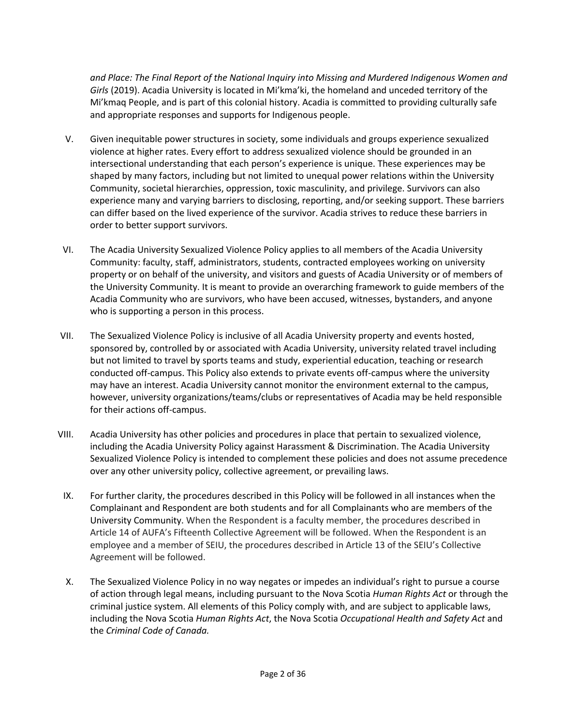*and Place: The Final Report of the National Inquiry into Missing and Murdered Indigenous Women and Girls* (2019). Acadia University is located in Mi'kma'ki, the homeland and unceded territory of the Mi'kmaq People, and is part of this colonial history. Acadia is committed to providing culturally safe and appropriate responses and supports for Indigenous people.

- V. Given inequitable power structures in society, some individuals and groups experience sexualized violence at higher rates. Every effort to address sexualized violence should be grounded in an intersectional understanding that each person's experience is unique. These experiences may be shaped by many factors, including but not limited to unequal power relations within the University Community, societal hierarchies, oppression, toxic masculinity, and privilege. Survivors can also experience many and varying barriers to disclosing, reporting, and/or seeking support. These barriers can differ based on the lived experience of the survivor. Acadia strives to reduce these barriers in order to better support survivors.
- VI. The Acadia University Sexualized Violence Policy applies to all members of the Acadia University Community: faculty, staff, administrators, students, contracted employees working on university property or on behalf of the university, and visitors and guests of Acadia University or of members of the University Community. It is meant to provide an overarching framework to guide members of the Acadia Community who are survivors, who have been accused, witnesses, bystanders, and anyone who is supporting a person in this process.
- VII. The Sexualized Violence Policy is inclusive of all Acadia University property and events hosted, sponsored by, controlled by or associated with Acadia University, university related travel including but not limited to travel by sports teams and study, experiential education, teaching or research conducted off-campus. This Policy also extends to private events off-campus where the university may have an interest. Acadia University cannot monitor the environment external to the campus, however, university organizations/teams/clubs or representatives of Acadia may be held responsible for their actions off-campus.
- VIII. Acadia University has other policies and procedures in place that pertain to sexualized violence, including the Acadia University Policy against Harassment & Discrimination. The Acadia University Sexualized Violence Policy is intended to complement these policies and does not assume precedence over any other university policy, collective agreement, or prevailing laws.
	- IX. For further clarity, the procedures described in this Policy will be followed in all instances when the Complainant and Respondent are both students and for all Complainants who are members of the University Community. When the Respondent is a faculty member, the procedures described in Article 14 of AUFA's Fifteenth Collective Agreement will be followed. When the Respondent is an employee and a member of SEIU, the procedures described in Article 13 of the SEIU's Collective Agreement will be followed.
	- X. The Sexualized Violence Policy in no way negates or impedes an individual's right to pursue a course of action through legal means, including pursuant to the Nova Scotia *Human Rights Act* or through the criminal justice system. All elements of this Policy comply with, and are subject to applicable laws, including the Nova Scotia *Human Rights Act*, the Nova Scotia *Occupational Health and Safety Act* and the *Criminal Code of Canada.*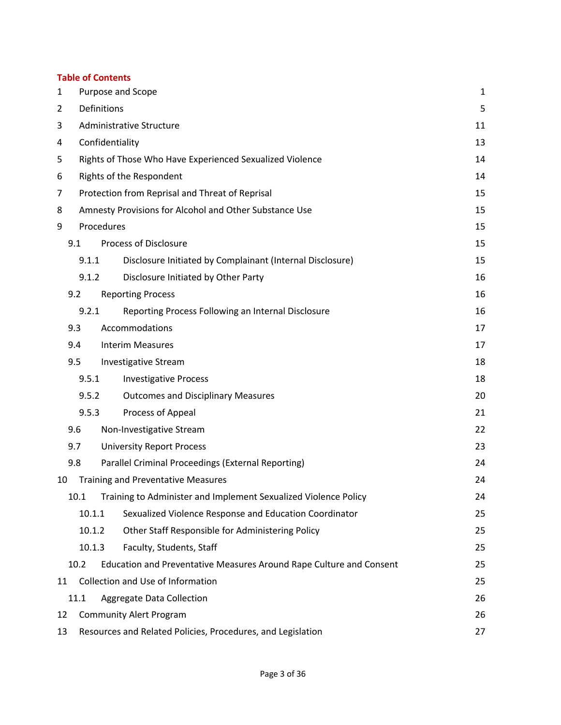### **Table of Contents**

| $\mathbf{1}$    | Purpose and Scope                                                 |                                                                     | 1  |
|-----------------|-------------------------------------------------------------------|---------------------------------------------------------------------|----|
| $\overline{2}$  | Definitions                                                       |                                                                     | 5  |
| 3               | Administrative Structure                                          |                                                                     | 11 |
| 4               | Confidentiality                                                   |                                                                     | 13 |
| 5               | Rights of Those Who Have Experienced Sexualized Violence          |                                                                     | 14 |
| 6               | Rights of the Respondent                                          |                                                                     | 14 |
| 7               | Protection from Reprisal and Threat of Reprisal                   |                                                                     | 15 |
| 8               | Amnesty Provisions for Alcohol and Other Substance Use            |                                                                     | 15 |
| Procedures<br>9 |                                                                   | 15                                                                  |    |
|                 | 9.1                                                               | <b>Process of Disclosure</b>                                        | 15 |
|                 | 9.1.1                                                             | Disclosure Initiated by Complainant (Internal Disclosure)           | 15 |
|                 | Disclosure Initiated by Other Party<br>9.1.2                      |                                                                     | 16 |
|                 | 9.2                                                               | <b>Reporting Process</b>                                            | 16 |
|                 | 9.2.1                                                             | Reporting Process Following an Internal Disclosure                  | 16 |
|                 | 9.3                                                               | Accommodations                                                      | 17 |
|                 | 9.4                                                               | <b>Interim Measures</b>                                             | 17 |
|                 | 9.5                                                               | <b>Investigative Stream</b>                                         | 18 |
|                 | 9.5.1                                                             | <b>Investigative Process</b>                                        | 18 |
|                 | 9.5.2<br><b>Outcomes and Disciplinary Measures</b>                |                                                                     | 20 |
|                 | Process of Appeal<br>9.5.3                                        |                                                                     | 21 |
|                 | 9.6                                                               | Non-Investigative Stream                                            | 22 |
|                 | 9.7                                                               | <b>University Report Process</b>                                    | 23 |
|                 | 9.8                                                               | Parallel Criminal Proceedings (External Reporting)                  | 24 |
| 10              |                                                                   | <b>Training and Preventative Measures</b>                           | 24 |
|                 | 10.1                                                              | Training to Administer and Implement Sexualized Violence Policy     | 24 |
|                 | 10.1.1                                                            | Sexualized Violence Response and Education Coordinator              | 25 |
|                 | 10.1.2                                                            | Other Staff Responsible for Administering Policy                    | 25 |
|                 | 10.1.3                                                            | Faculty, Students, Staff                                            | 25 |
|                 | 10.2                                                              | Education and Preventative Measures Around Rape Culture and Consent | 25 |
| 11              | Collection and Use of Information                                 |                                                                     | 25 |
|                 | 11.1                                                              | Aggregate Data Collection                                           | 26 |
| 12              | <b>Community Alert Program</b>                                    |                                                                     | 26 |
| 13              | Resources and Related Policies, Procedures, and Legislation<br>27 |                                                                     |    |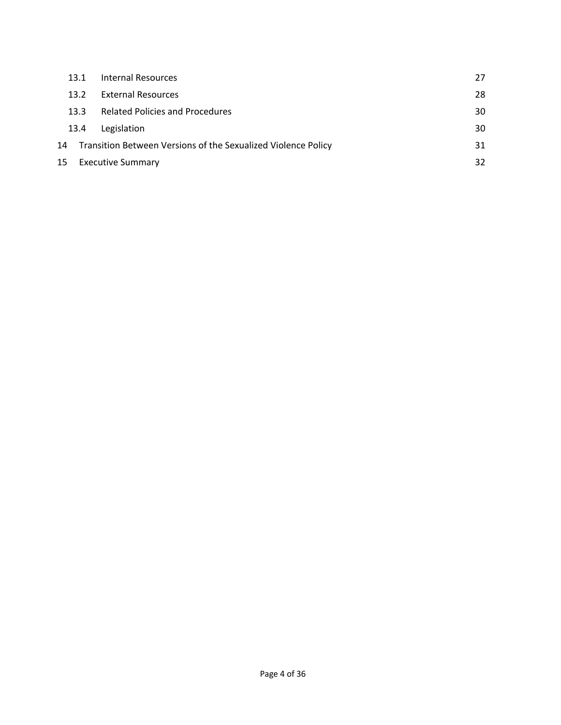|                                                                     | 28 |
|---------------------------------------------------------------------|----|
| <b>External Resources</b><br>13.2                                   |    |
| <b>Related Policies and Procedures</b><br>13.3                      | 30 |
| Legislation<br>13.4                                                 | 30 |
| Transition Between Versions of the Sexualized Violence Policy<br>14 | 31 |
| 15<br><b>Executive Summary</b>                                      | 32 |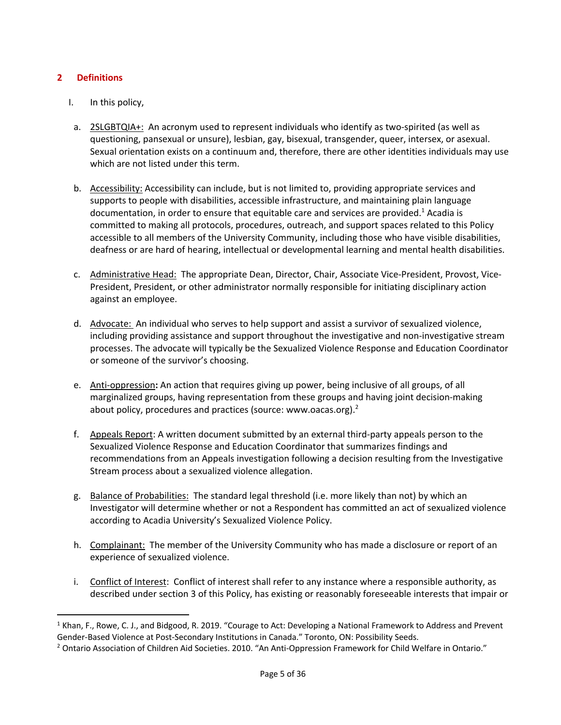### **2 Definitions**

- I. In this policy,
- a. 2SLGBTQIA+: An acronym used to represent individuals who identify as two-spirited (as well as questioning, pansexual or unsure), lesbian, gay, bisexual, transgender, queer, intersex, or asexual. Sexual orientation exists on a continuum and, therefore, there are other identities individuals may use which are not listed under this term.
- b. Accessibility: Accessibility can include, but is not limited to, providing appropriate services and supports to people with disabilities, accessible infrastructure, and maintaining plain language documentation, in order to ensure that equitable care and services are provided.<sup>1</sup> Acadia is committed to making all protocols, procedures, outreach, and support spaces related to this Policy accessible to all members of the University Community, including those who have visible disabilities, deafness or are hard of hearing, intellectual or developmental learning and mental health disabilities.
- c. Administrative Head:The appropriate Dean, Director, Chair, Associate Vice-President, Provost, Vice-President, President, or other administrator normally responsible for initiating disciplinary action against an employee.
- d. Advocate: An individual who serves to help support and assist a survivor of sexualized violence, including providing assistance and support throughout the investigative and non-investigative stream processes. The advocate will typically be the Sexualized Violence Response and Education Coordinator or someone of the survivor's choosing.
- e. Anti-oppression**:** An action that requires giving up power, being inclusive of all groups, of all marginalized groups, having representation from these groups and having joint decision-making about policy, procedures and practices (source: www.oacas.org).<sup>2</sup>
- f. Appeals Report: A written document submitted by an external third-party appeals person to the Sexualized Violence Response and Education Coordinator that summarizes findings and recommendations from an Appeals investigation following a decision resulting from the Investigative Stream process about a sexualized violence allegation.
- g. Balance of Probabilities:The standard legal threshold (i.e. more likely than not) by which an Investigator will determine whether or not a Respondent has committed an act of sexualized violence according to Acadia University's Sexualized Violence Policy.
- h. Complainant:The member of the University Community who has made a disclosure or report of an experience of sexualized violence.
- i. Conflict of Interest: Conflict of interest shall refer to any instance where a responsible authority, as described under section 3 of this Policy, has existing or reasonably foreseeable interests that impair or

 $1$  Khan, F., Rowe, C. J., and Bidgood, R. 2019. "Courage to Act: Developing a National Framework to Address and Prevent Gender-Based Violence at Post-Secondary Institutions in Canada." Toronto, ON: Possibility Seeds.

<sup>&</sup>lt;sup>2</sup> Ontario Association of Children Aid Societies. 2010. "An Anti-Oppression Framework for Child Welfare in Ontario."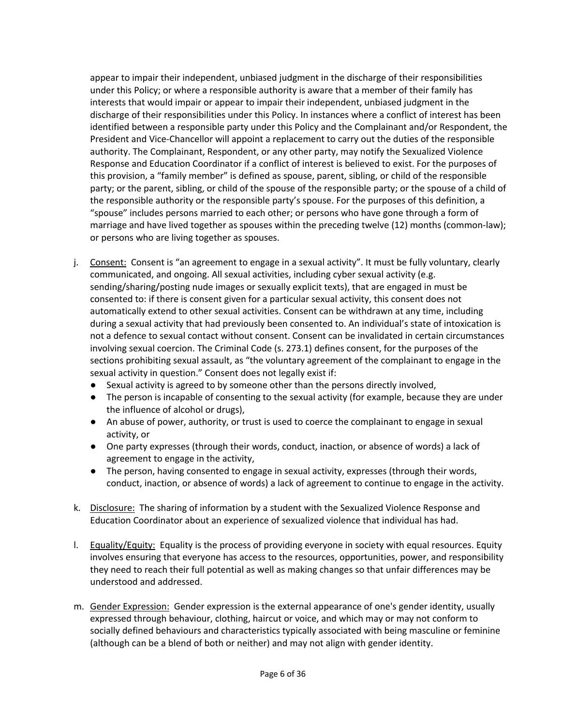appear to impair their independent, unbiased judgment in the discharge of their responsibilities under this Policy; or where a responsible authority is aware that a member of their family has interests that would impair or appear to impair their independent, unbiased judgment in the discharge of their responsibilities under this Policy. In instances where a conflict of interest has been identified between a responsible party under this Policy and the Complainant and/or Respondent, the President and Vice-Chancellor will appoint a replacement to carry out the duties of the responsible authority. The Complainant, Respondent, or any other party, may notify the Sexualized Violence Response and Education Coordinator if a conflict of interest is believed to exist. For the purposes of this provision, a "family member" is defined as spouse, parent, sibling, or child of the responsible party; or the parent, sibling, or child of the spouse of the responsible party; or the spouse of a child of the responsible authority or the responsible party's spouse. For the purposes of this definition, a "spouse" includes persons married to each other; or persons who have gone through a form of marriage and have lived together as spouses within the preceding twelve (12) months (common-law); or persons who are living together as spouses.

- j. Consent: Consent is "an agreement to engage in a sexual activity". It must be fully voluntary, clearly communicated, and ongoing. All sexual activities, including cyber sexual activity (e.g. sending/sharing/posting nude images or sexually explicit texts), that are engaged in must be consented to: if there is consent given for a particular sexual activity, this consent does not automatically extend to other sexual activities. Consent can be withdrawn at any time, including during a sexual activity that had previously been consented to. An individual's state of intoxication is not a defence to sexual contact without consent. Consent can be invalidated in certain circumstances involving sexual coercion. The Criminal Code (s. 273.1) defines consent, for the purposes of the sections prohibiting sexual assault, as "the voluntary agreement of the complainant to engage in the sexual activity in question." Consent does not legally exist if:
	- Sexual activity is agreed to by someone other than the persons directly involved,
	- The person is incapable of consenting to the sexual activity (for example, because they are under the influence of alcohol or drugs),
	- An abuse of power, authority, or trust is used to coerce the complainant to engage in sexual activity, or
	- One party expresses (through their words, conduct, inaction, or absence of words) a lack of agreement to engage in the activity,
	- The person, having consented to engage in sexual activity, expresses (through their words, conduct, inaction, or absence of words) a lack of agreement to continue to engage in the activity.
- k. Disclosure:The sharing of information by a student with the Sexualized Violence Response and Education Coordinator about an experience of sexualized violence that individual has had.
- l. Equality/Equity:Equality is the process of providing everyone in society with equal resources. Equity involves ensuring that everyone has access to the resources, opportunities, power, and responsibility they need to reach their full potential as well as making changes so that unfair differences may be understood and addressed.
- m. Gender Expression:Gender expression is the external appearance of one's gender identity, usually expressed through behaviour, clothing, haircut or voice, and which may or may not conform to socially defined behaviours and characteristics typically associated with being masculine or feminine (although can be a blend of both or neither) and may not align with gender identity.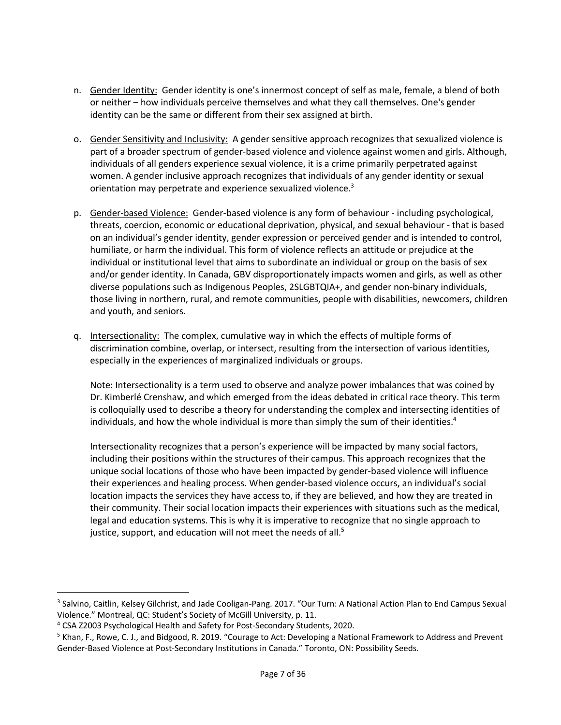- n. Gender Identity:Gender identity is one's innermost concept of self as male, female, a blend of both or neither – how individuals perceive themselves and what they call themselves. One's gender identity can be the same or different from their sex assigned at birth.
- o. Gender Sensitivity and Inclusivity:A gender sensitive approach recognizes that sexualized violence is part of a broader spectrum of gender-based violence and violence against women and girls. Although, individuals of all genders experience sexual violence, it is a crime primarily perpetrated against women. A gender inclusive approach recognizes that individuals of any gender identity or sexual orientation may perpetrate and experience sexualized violence.<sup>3</sup>
- p. Gender-based Violence: Gender-based violence is any form of behaviour including psychological, threats, coercion, economic or educational deprivation, physical, and sexual behaviour - that is based on an individual's gender identity, gender expression or perceived gender and is intended to control, humiliate, or harm the individual. This form of violence reflects an attitude or prejudice at the individual or institutional level that aims to subordinate an individual or group on the basis of sex and/or gender identity. In Canada, GBV disproportionately impacts women and girls, as well as other diverse populations such as Indigenous Peoples, 2SLGBTQIA+, and gender non-binary individuals, those living in northern, rural, and remote communities, people with disabilities, newcomers, children and youth, and seniors.
- q. Intersectionality: The complex, cumulative way in which the effects of multiple forms of discrimination combine, overlap, or intersect, resulting from the intersection of various identities, especially in the experiences of marginalized individuals or groups.

Note: Intersectionality is a term used to observe and analyze power imbalances that was coined by Dr. Kimberlé Crenshaw, and which emerged from the ideas debated in critical race theory. This term is colloquially used to describe a theory for understanding the complex and intersecting identities of individuals, and how the whole individual is more than simply the sum of their identities.<sup>4</sup>

Intersectionality recognizes that a person's experience will be impacted by many social factors, including their positions within the structures of their campus. This approach recognizes that the unique social locations of those who have been impacted by gender-based violence will influence their experiences and healing process. When gender-based violence occurs, an individual's social location impacts the services they have access to, if they are believed, and how they are treated in their community. Their social location impacts their experiences with situations such as the medical, legal and education systems. This is why it is imperative to recognize that no single approach to justice, support, and education will not meet the needs of all.<sup>5</sup>

<sup>&</sup>lt;sup>3</sup> Salvino, Caitlin, Kelsey Gilchrist, and Jade Cooligan-Pang. 2017. "Our Turn: A National Action Plan to End Campus Sexual Violence." Montreal, QC: Student's Society of McGill University, p. 11.

<sup>4</sup> CSA Z2003 Psychological Health and Safety for Post-Secondary Students, 2020.

<sup>&</sup>lt;sup>5</sup> Khan, F., Rowe, C. J., and Bidgood, R. 2019. "Courage to Act: Developing a National Framework to Address and Prevent Gender-Based Violence at Post-Secondary Institutions in Canada." Toronto, ON: Possibility Seeds.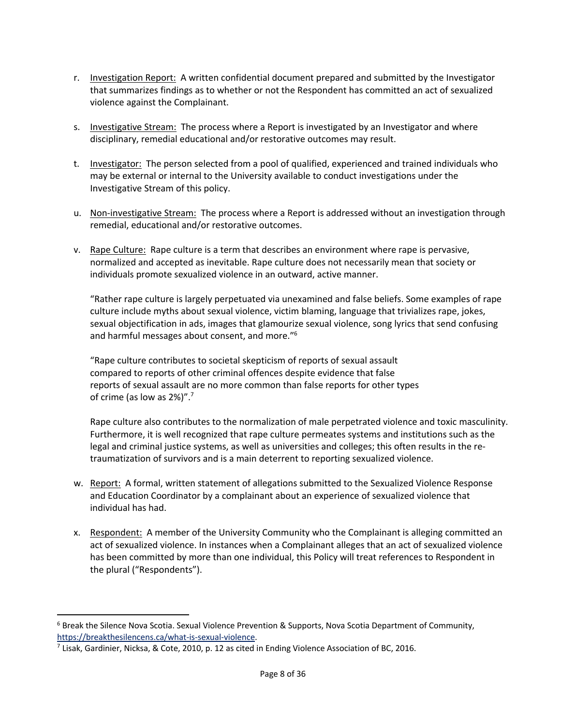- r. Investigation Report: A written confidential document prepared and submitted by the Investigator that summarizes findings as to whether or not the Respondent has committed an act of sexualized violence against the Complainant.
- s. Investigative Stream:The process where a Report is investigated by an Investigator and where disciplinary, remedial educational and/or restorative outcomes may result.
- t. Investigator: The person selected from a pool of qualified, experienced and trained individuals who may be external or internal to the University available to conduct investigations under the Investigative Stream of this policy.
- u. Non-investigative Stream:The process where a Report is addressed without an investigation through remedial, educational and/or restorative outcomes.
- v. Rape Culture:Rape culture is a term that describes an environment where rape is pervasive, normalized and accepted as inevitable. Rape culture does not necessarily mean that society or individuals promote sexualized violence in an outward, active manner.

"Rather rape culture is largely perpetuated via unexamined and false beliefs. Some examples of rape culture include myths about sexual violence, victim blaming, language that trivializes rape, jokes, sexual objectification in ads, images that glamourize sexual violence, song lyrics that send confusing and harmful messages about consent, and more."6

"Rape culture contributes to societal skepticism of reports of sexual assault compared to reports of other criminal offences despite evidence that false reports of sexual assault are no more common than false reports for other types of crime (as low as 2%)".7

Rape culture also contributes to the normalization of male perpetrated violence and toxic masculinity. Furthermore, it is well recognized that rape culture permeates systems and institutions such as the legal and criminal justice systems, as well as universities and colleges; this often results in the retraumatization of survivors and is a main deterrent to reporting sexualized violence.

- w. Report:A formal, written statement of allegations submitted to the Sexualized Violence Response and Education Coordinator by a complainant about an experience of sexualized violence that individual has had.
- x. Respondent:A member of the University Community who the Complainant is alleging committed an act of sexualized violence. In instances when a Complainant alleges that an act of sexualized violence has been committed by more than one individual, this Policy will treat references to Respondent in the plural ("Respondents").

<sup>6</sup> Break the Silence Nova Scotia. Sexual Violence Prevention & Supports, Nova Scotia Department of Community, https://breakthesilencens.ca/what-is-sexual-violence.

 $^7$  Lisak, Gardinier, Nicksa, & Cote, 2010, p. 12 as cited in Ending Violence Association of BC, 2016.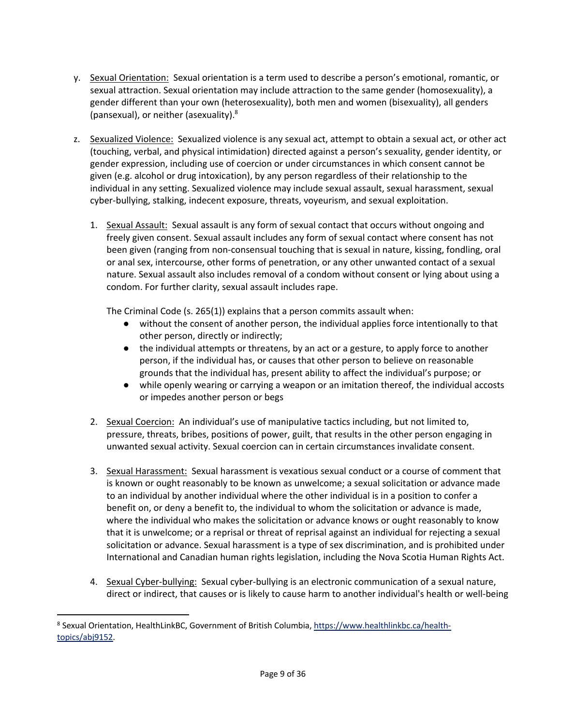- y. Sexual Orientation:Sexual orientation is a term used to describe a person's emotional, romantic, or sexual attraction. Sexual orientation may include attraction to the same gender (homosexuality), a gender different than your own (heterosexuality), both men and women (bisexuality), all genders (pansexual), or neither (asexuality).8
- z. Sexualized Violence:Sexualized violence is any sexual act, attempt to obtain a sexual act, or other act (touching, verbal, and physical intimidation) directed against a person's sexuality, gender identity, or gender expression, including use of coercion or under circumstances in which consent cannot be given (e.g. alcohol or drug intoxication), by any person regardless of their relationship to the individual in any setting. Sexualized violence may include sexual assault, sexual harassment, sexual cyber-bullying, stalking, indecent exposure, threats, voyeurism, and sexual exploitation.
	- 1. Sexual Assault: Sexual assault is any form of sexual contact that occurs without ongoing and freely given consent. Sexual assault includes any form of sexual contact where consent has not been given (ranging from non-consensual touching that is sexual in nature, kissing, fondling, oral or anal sex, intercourse, other forms of penetration, or any other unwanted contact of a sexual nature. Sexual assault also includes removal of a condom without consent or lying about using a condom. For further clarity, sexual assault includes rape.

The Criminal Code (s. 265(1)) explains that a person commits assault when:

- without the consent of another person, the individual applies force intentionally to that other person, directly or indirectly;
- the individual attempts or threatens, by an act or a gesture, to apply force to another person, if the individual has, or causes that other person to believe on reasonable grounds that the individual has, present ability to affect the individual's purpose; or
- while openly wearing or carrying a weapon or an imitation thereof, the individual accosts or impedes another person or begs
- 2. Sexual Coercion:An individual's use of manipulative tactics including, but not limited to, pressure, threats, bribes, positions of power, guilt, that results in the other person engaging in unwanted sexual activity. Sexual coercion can in certain circumstances invalidate consent.
- 3. Sexual Harassment:Sexual harassment is vexatious sexual conduct or a course of comment that is known or ought reasonably to be known as unwelcome; a sexual solicitation or advance made to an individual by another individual where the other individual is in a position to confer a benefit on, or deny a benefit to, the individual to whom the solicitation or advance is made, where the individual who makes the solicitation or advance knows or ought reasonably to know that it is unwelcome; or a reprisal or threat of reprisal against an individual for rejecting a sexual solicitation or advance. Sexual harassment is a type of sex discrimination, and is prohibited under International and Canadian human rights legislation, including the Nova Scotia Human Rights Act.
- 4. Sexual Cyber-bullying: Sexual cyber-bullying is an electronic communication of a sexual nature, direct or indirect, that causes or is likely to cause harm to another individual's health or well-being

<sup>8</sup> Sexual Orientation, HealthLinkBC, Government of British Columbia, https://www.healthlinkbc.ca/healthtopics/abj9152.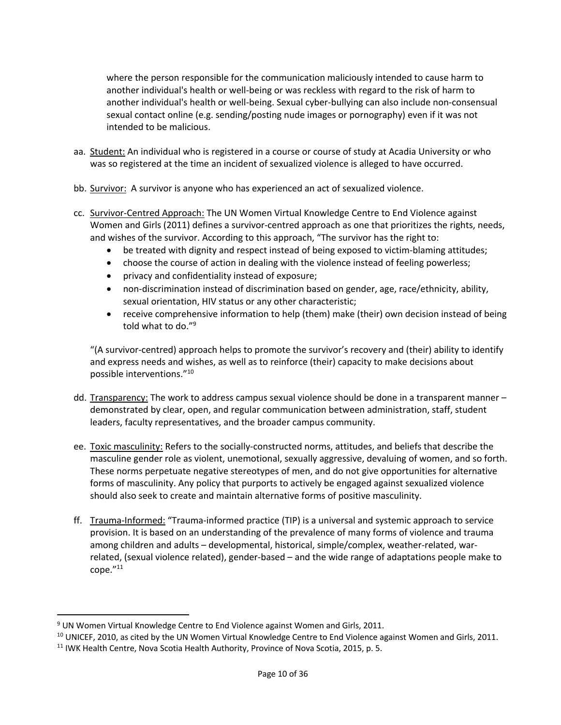where the person responsible for the communication maliciously intended to cause harm to another individual's health or well-being or was reckless with regard to the risk of harm to another individual's health or well-being. Sexual cyber-bullying can also include non-consensual sexual contact online (e.g. sending/posting nude images or pornography) even if it was not intended to be malicious.

- aa. Student: An individual who is registered in a course or course of study at Acadia University or who was so registered at the time an incident of sexualized violence is alleged to have occurred.
- bb. Survivor:A survivor is anyone who has experienced an act of sexualized violence.
- cc. Survivor-Centred Approach: The UN Women Virtual Knowledge Centre to End Violence against Women and Girls (2011) defines a survivor-centred approach as one that prioritizes the rights, needs, and wishes of the survivor. According to this approach, "The survivor has the right to:
	- be treated with dignity and respect instead of being exposed to victim-blaming attitudes;
	- choose the course of action in dealing with the violence instead of feeling powerless;
	- privacy and confidentiality instead of exposure;
	- non-discrimination instead of discrimination based on gender, age, race/ethnicity, ability, sexual orientation, HIV status or any other characteristic;
	- receive comprehensive information to help (them) make (their) own decision instead of being told what to do."9

"(A survivor-centred) approach helps to promote the survivor's recovery and (their) ability to identify and express needs and wishes, as well as to reinforce (their) capacity to make decisions about possible interventions."10

- dd. Transparency: The work to address campus sexual violence should be done in a transparent manner demonstrated by clear, open, and regular communication between administration, staff, student leaders, faculty representatives, and the broader campus community.
- ee. Toxic masculinity: Refers to the socially-constructed norms, attitudes, and beliefs that describe the masculine gender role as violent, unemotional, sexually aggressive, devaluing of women, and so forth. These norms perpetuate negative stereotypes of men, and do not give opportunities for alternative forms of masculinity. Any policy that purports to actively be engaged against sexualized violence should also seek to create and maintain alternative forms of positive masculinity.
- ff. Trauma-Informed: "Trauma-informed practice (TIP) is a universal and systemic approach to service provision. It is based on an understanding of the prevalence of many forms of violence and trauma among children and adults – developmental, historical, simple/complex, weather-related, warrelated, (sexual violence related), gender-based – and the wide range of adaptations people make to cope."11

<sup>9</sup> UN Women Virtual Knowledge Centre to End Violence against Women and Girls, 2011.

<sup>&</sup>lt;sup>10</sup> UNICEF, 2010, as cited by the UN Women Virtual Knowledge Centre to End Violence against Women and Girls, 2011.

<sup>&</sup>lt;sup>11</sup> IWK Health Centre, Nova Scotia Health Authority, Province of Nova Scotia, 2015, p. 5.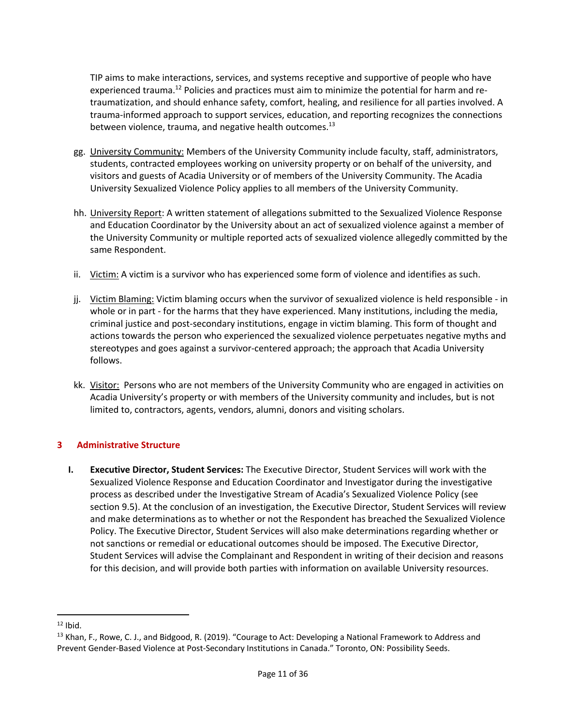TIP aims to make interactions, services, and systems receptive and supportive of people who have experienced trauma.<sup>12</sup> Policies and practices must aim to minimize the potential for harm and retraumatization, and should enhance safety, comfort, healing, and resilience for all parties involved. A trauma-informed approach to support services, education, and reporting recognizes the connections between violence, trauma, and negative health outcomes.<sup>13</sup>

- gg. University Community: Members of the University Community include faculty, staff, administrators, students, contracted employees working on university property or on behalf of the university, and visitors and guests of Acadia University or of members of the University Community. The Acadia University Sexualized Violence Policy applies to all members of the University Community.
- hh. University Report: A written statement of allegations submitted to the Sexualized Violence Response and Education Coordinator by the University about an act of sexualized violence against a member of the University Community or multiple reported acts of sexualized violence allegedly committed by the same Respondent.
- ii. Victim: A victim is a survivor who has experienced some form of violence and identifies as such.
- jj. Victim Blaming: Victim blaming occurs when the survivor of sexualized violence is held responsible in whole or in part - for the harms that they have experienced. Many institutions, including the media, criminal justice and post-secondary institutions, engage in victim blaming. This form of thought and actions towards the person who experienced the sexualized violence perpetuates negative myths and stereotypes and goes against a survivor-centered approach; the approach that Acadia University follows.
- kk. Visitor: Persons who are not members of the University Community who are engaged in activities on Acadia University's property or with members of the University community and includes, but is not limited to, contractors, agents, vendors, alumni, donors and visiting scholars.

# **3 Administrative Structure**

**I. Executive Director, Student Services:** The Executive Director, Student Services will work with the Sexualized Violence Response and Education Coordinator and Investigator during the investigative process as described under the Investigative Stream of Acadia's Sexualized Violence Policy (see section 9.5). At the conclusion of an investigation, the Executive Director, Student Services will review and make determinations as to whether or not the Respondent has breached the Sexualized Violence Policy. The Executive Director, Student Services will also make determinations regarding whether or not sanctions or remedial or educational outcomes should be imposed. The Executive Director, Student Services will advise the Complainant and Respondent in writing of their decision and reasons for this decision, and will provide both parties with information on available University resources.

 $12$  Ibid.

<sup>&</sup>lt;sup>13</sup> Khan, F., Rowe, C. J., and Bidgood, R. (2019). "Courage to Act: Developing a National Framework to Address and Prevent Gender-Based Violence at Post-Secondary Institutions in Canada." Toronto, ON: Possibility Seeds.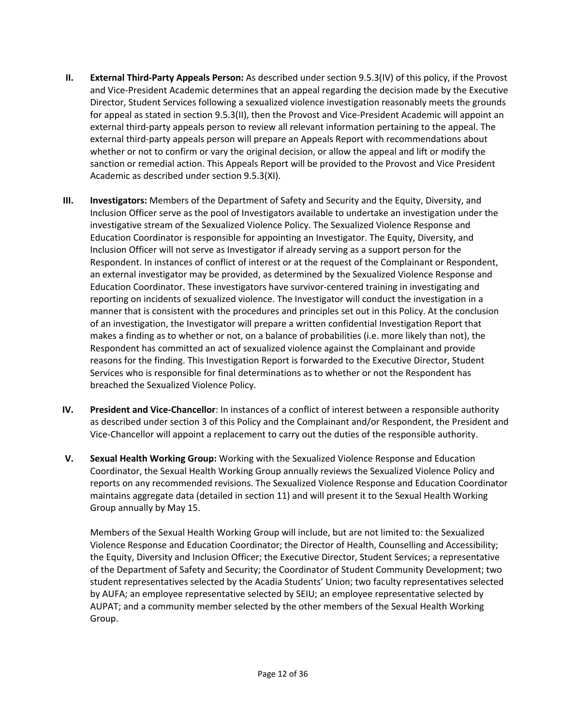- **II. External Third-Party Appeals Person:** As described under section 9.5.3(IV) of this policy, if the Provost and Vice-President Academic determines that an appeal regarding the decision made by the Executive Director, Student Services following a sexualized violence investigation reasonably meets the grounds for appeal as stated in section 9.5.3(II), then the Provost and Vice-President Academic will appoint an external third-party appeals person to review all relevant information pertaining to the appeal. The external third-party appeals person will prepare an Appeals Report with recommendations about whether or not to confirm or vary the original decision, or allow the appeal and lift or modify the sanction or remedial action. This Appeals Report will be provided to the Provost and Vice President Academic as described under section 9.5.3(XI).
- **III. Investigators:** Members of the Department of Safety and Security and the Equity, Diversity, and Inclusion Officer serve as the pool of Investigators available to undertake an investigation under the investigative stream of the Sexualized Violence Policy. The Sexualized Violence Response and Education Coordinator is responsible for appointing an Investigator. The Equity, Diversity, and Inclusion Officer will not serve as Investigator if already serving as a support person for the Respondent. In instances of conflict of interest or at the request of the Complainant or Respondent, an external investigator may be provided, as determined by the Sexualized Violence Response and Education Coordinator. These investigators have survivor-centered training in investigating and reporting on incidents of sexualized violence. The Investigator will conduct the investigation in a manner that is consistent with the procedures and principles set out in this Policy. At the conclusion of an investigation, the Investigator will prepare a written confidential Investigation Report that makes a finding as to whether or not, on a balance of probabilities (i.e. more likely than not), the Respondent has committed an act of sexualized violence against the Complainant and provide reasons for the finding. This Investigation Report is forwarded to the Executive Director, Student Services who is responsible for final determinations as to whether or not the Respondent has breached the Sexualized Violence Policy.
- **IV. President and Vice-Chancellor**: In instances of a conflict of interest between a responsible authority as described under section 3 of this Policy and the Complainant and/or Respondent, the President and Vice-Chancellor will appoint a replacement to carry out the duties of the responsible authority.
- **V. Sexual Health Working Group:** Working with the Sexualized Violence Response and Education Coordinator, the Sexual Health Working Group annually reviews the Sexualized Violence Policy and reports on any recommended revisions. The Sexualized Violence Response and Education Coordinator maintains aggregate data (detailed in section 11) and will present it to the Sexual Health Working Group annually by May 15.

Members of the Sexual Health Working Group will include, but are not limited to: the Sexualized Violence Response and Education Coordinator; the Director of Health, Counselling and Accessibility; the Equity, Diversity and Inclusion Officer; the Executive Director, Student Services; a representative of the Department of Safety and Security; the Coordinator of Student Community Development; two student representatives selected by the Acadia Students' Union; two faculty representatives selected by AUFA; an employee representative selected by SEIU; an employee representative selected by AUPAT; and a community member selected by the other members of the Sexual Health Working Group.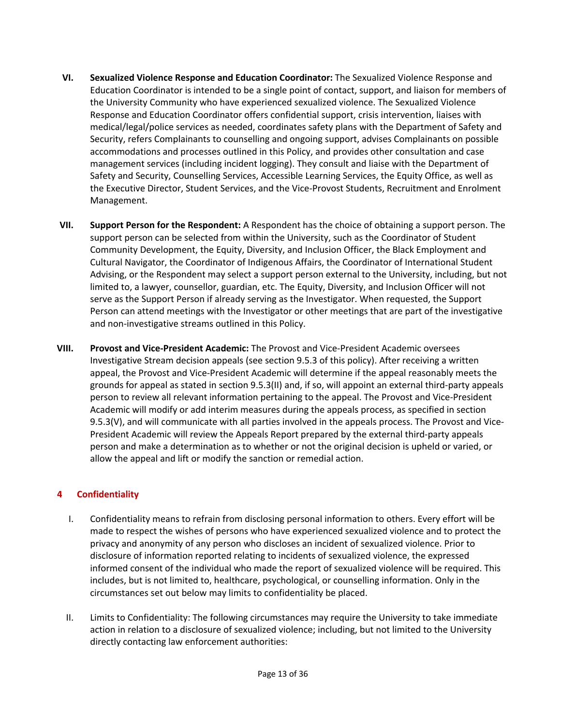- **VI. Sexualized Violence Response and Education Coordinator:** The Sexualized Violence Response and Education Coordinator is intended to be a single point of contact, support, and liaison for members of the University Community who have experienced sexualized violence. The Sexualized Violence Response and Education Coordinator offers confidential support, crisis intervention, liaises with medical/legal/police services as needed, coordinates safety plans with the Department of Safety and Security, refers Complainants to counselling and ongoing support, advises Complainants on possible accommodations and processes outlined in this Policy, and provides other consultation and case management services (including incident logging). They consult and liaise with the Department of Safety and Security, Counselling Services, Accessible Learning Services, the Equity Office, as well as the Executive Director, Student Services, and the Vice-Provost Students, Recruitment and Enrolment Management.
- **VII. Support Person for the Respondent:** A Respondent has the choice of obtaining a support person. The support person can be selected from within the University, such as the Coordinator of Student Community Development, the Equity, Diversity, and Inclusion Officer, the Black Employment and Cultural Navigator, the Coordinator of Indigenous Affairs, the Coordinator of International Student Advising, or the Respondent may select a support person external to the University, including, but not limited to, a lawyer, counsellor, guardian, etc. The Equity, Diversity, and Inclusion Officer will not serve as the Support Person if already serving as the Investigator. When requested, the Support Person can attend meetings with the Investigator or other meetings that are part of the investigative and non-investigative streams outlined in this Policy.
- **VIII. Provost and Vice-President Academic:** The Provost and Vice-President Academic oversees Investigative Stream decision appeals (see section 9.5.3 of this policy). After receiving a written appeal, the Provost and Vice-President Academic will determine if the appeal reasonably meets the grounds for appeal as stated in section 9.5.3(II) and, if so, will appoint an external third-party appeals person to review all relevant information pertaining to the appeal. The Provost and Vice-President Academic will modify or add interim measures during the appeals process, as specified in section 9.5.3(V), and will communicate with all parties involved in the appeals process. The Provost and Vice-President Academic will review the Appeals Report prepared by the external third-party appeals person and make a determination as to whether or not the original decision is upheld or varied, or allow the appeal and lift or modify the sanction or remedial action.

# **4 Confidentiality**

- I. Confidentiality means to refrain from disclosing personal information to others. Every effort will be made to respect the wishes of persons who have experienced sexualized violence and to protect the privacy and anonymity of any person who discloses an incident of sexualized violence. Prior to disclosure of information reported relating to incidents of sexualized violence, the expressed informed consent of the individual who made the report of sexualized violence will be required. This includes, but is not limited to, healthcare, psychological, or counselling information. Only in the circumstances set out below may limits to confidentiality be placed.
- II. Limits to Confidentiality: The following circumstances may require the University to take immediate action in relation to a disclosure of sexualized violence; including, but not limited to the University directly contacting law enforcement authorities: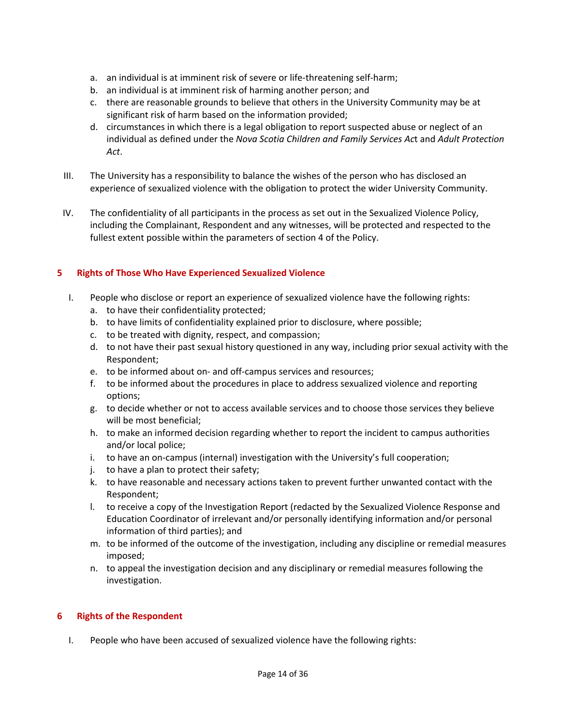- a. an individual is at imminent risk of severe or life-threatening self-harm;
- b. an individual is at imminent risk of harming another person; and
- c. there are reasonable grounds to believe that others in the University Community may be at significant risk of harm based on the information provided;
- d. circumstances in which there is a legal obligation to report suspected abuse or neglect of an individual as defined under the *Nova Scotia Children and Family Services Ac*t and *Adult Protection Act*.
- III. The University has a responsibility to balance the wishes of the person who has disclosed an experience of sexualized violence with the obligation to protect the wider University Community.
- IV. The confidentiality of all participants in the process as set out in the Sexualized Violence Policy, including the Complainant, Respondent and any witnesses, will be protected and respected to the fullest extent possible within the parameters of section 4 of the Policy.

# **5 Rights of Those Who Have Experienced Sexualized Violence**

- I. People who disclose or report an experience of sexualized violence have the following rights:
	- a. to have their confidentiality protected;
	- b. to have limits of confidentiality explained prior to disclosure, where possible;
	- c. to be treated with dignity, respect, and compassion;
	- d. to not have their past sexual history questioned in any way, including prior sexual activity with the Respondent;
	- e. to be informed about on- and off-campus services and resources;
	- f. to be informed about the procedures in place to address sexualized violence and reporting options;
	- g. to decide whether or not to access available services and to choose those services they believe will be most beneficial;
	- h. to make an informed decision regarding whether to report the incident to campus authorities and/or local police;
	- i. to have an on-campus (internal) investigation with the University's full cooperation;
	- j. to have a plan to protect their safety;
	- k. to have reasonable and necessary actions taken to prevent further unwanted contact with the Respondent;
	- l. to receive a copy of the Investigation Report (redacted by the Sexualized Violence Response and Education Coordinator of irrelevant and/or personally identifying information and/or personal information of third parties); and
	- m. to be informed of the outcome of the investigation, including any discipline or remedial measures imposed;
	- n. to appeal the investigation decision and any disciplinary or remedial measures following the investigation.

# **6 Rights of the Respondent**

I. People who have been accused of sexualized violence have the following rights: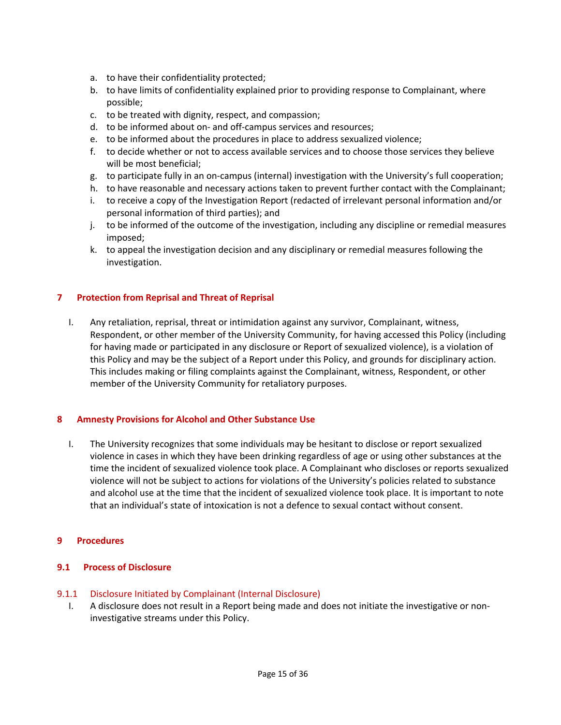- a. to have their confidentiality protected;
- b. to have limits of confidentiality explained prior to providing response to Complainant, where possible;
- c. to be treated with dignity, respect, and compassion;
- d. to be informed about on- and off-campus services and resources;
- e. to be informed about the procedures in place to address sexualized violence;
- f. to decide whether or not to access available services and to choose those services they believe will be most beneficial;
- g. to participate fully in an on-campus (internal) investigation with the University's full cooperation;
- h. to have reasonable and necessary actions taken to prevent further contact with the Complainant;
- i. to receive a copy of the Investigation Report (redacted of irrelevant personal information and/or personal information of third parties); and
- j. to be informed of the outcome of the investigation, including any discipline or remedial measures imposed;
- k. to appeal the investigation decision and any disciplinary or remedial measures following the investigation.

# **7 Protection from Reprisal and Threat of Reprisal**

I. Any retaliation, reprisal, threat or intimidation against any survivor, Complainant, witness, Respondent, or other member of the University Community, for having accessed this Policy (including for having made or participated in any disclosure or Report of sexualized violence), is a violation of this Policy and may be the subject of a Report under this Policy, and grounds for disciplinary action. This includes making or filing complaints against the Complainant, witness, Respondent, or other member of the University Community for retaliatory purposes.

# **8 Amnesty Provisions for Alcohol and Other Substance Use**

I. The University recognizes that some individuals may be hesitant to disclose or report sexualized violence in cases in which they have been drinking regardless of age or using other substances at the time the incident of sexualized violence took place. A Complainant who discloses or reports sexualized violence will not be subject to actions for violations of the University's policies related to substance and alcohol use at the time that the incident of sexualized violence took place. It is important to note that an individual's state of intoxication is not a defence to sexual contact without consent.

#### **9 Procedures**

# **9.1 Process of Disclosure**

#### 9.1.1 Disclosure Initiated by Complainant (Internal Disclosure)

I. A disclosure does not result in a Report being made and does not initiate the investigative or noninvestigative streams under this Policy.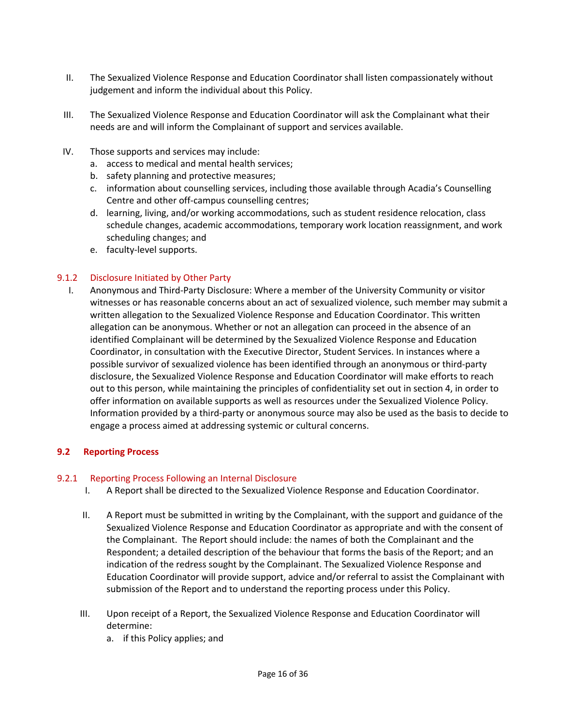- II. The Sexualized Violence Response and Education Coordinator shall listen compassionately without judgement and inform the individual about this Policy.
- III. The Sexualized Violence Response and Education Coordinator will ask the Complainant what their needs are and will inform the Complainant of support and services available.
- IV. Those supports and services may include:
	- a. access to medical and mental health services;
	- b. safety planning and protective measures;
	- c. information about counselling services, including those available through Acadia's Counselling Centre and other off-campus counselling centres;
	- d. learning, living, and/or working accommodations, such as student residence relocation, class schedule changes, academic accommodations, temporary work location reassignment, and work scheduling changes; and
	- e. faculty-level supports.

### 9.1.2 Disclosure Initiated by Other Party

I. Anonymous and Third-Party Disclosure: Where a member of the University Community or visitor witnesses or has reasonable concerns about an act of sexualized violence, such member may submit a written allegation to the Sexualized Violence Response and Education Coordinator. This written allegation can be anonymous. Whether or not an allegation can proceed in the absence of an identified Complainant will be determined by the Sexualized Violence Response and Education Coordinator, in consultation with the Executive Director, Student Services. In instances where a possible survivor of sexualized violence has been identified through an anonymous or third-party disclosure, the Sexualized Violence Response and Education Coordinator will make efforts to reach out to this person, while maintaining the principles of confidentiality set out in section 4, in order to offer information on available supports as well as resources under the Sexualized Violence Policy. Information provided by a third-party or anonymous source may also be used as the basis to decide to engage a process aimed at addressing systemic or cultural concerns.

#### **9.2 Reporting Process**

#### 9.2.1 Reporting Process Following an Internal Disclosure

- I. A Report shall be directed to the Sexualized Violence Response and Education Coordinator.
- II. A Report must be submitted in writing by the Complainant, with the support and guidance of the Sexualized Violence Response and Education Coordinator as appropriate and with the consent of the Complainant. The Report should include: the names of both the Complainant and the Respondent; a detailed description of the behaviour that forms the basis of the Report; and an indication of the redress sought by the Complainant. The Sexualized Violence Response and Education Coordinator will provide support, advice and/or referral to assist the Complainant with submission of the Report and to understand the reporting process under this Policy.
- III. Upon receipt of a Report, the Sexualized Violence Response and Education Coordinator will determine:
	- a. if this Policy applies; and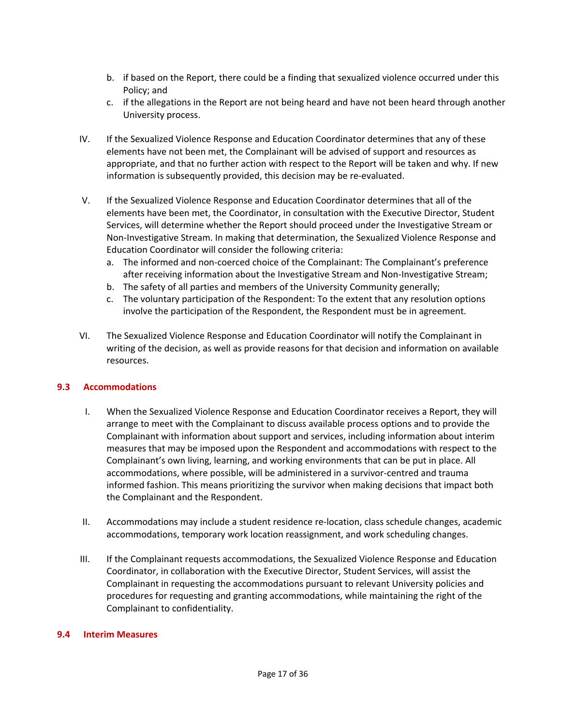- b. if based on the Report, there could be a finding that sexualized violence occurred under this Policy; and
- c. if the allegations in the Report are not being heard and have not been heard through another University process.
- IV. If the Sexualized Violence Response and Education Coordinator determines that any of these elements have not been met, the Complainant will be advised of support and resources as appropriate, and that no further action with respect to the Report will be taken and why. If new information is subsequently provided, this decision may be re-evaluated.
- V. If the Sexualized Violence Response and Education Coordinator determines that all of the elements have been met, the Coordinator, in consultation with the Executive Director, Student Services, will determine whether the Report should proceed under the Investigative Stream or Non-Investigative Stream. In making that determination, the Sexualized Violence Response and Education Coordinator will consider the following criteria:
	- a. The informed and non-coerced choice of the Complainant: The Complainant's preference after receiving information about the Investigative Stream and Non-Investigative Stream;
	- b. The safety of all parties and members of the University Community generally;
	- c. The voluntary participation of the Respondent: To the extent that any resolution options involve the participation of the Respondent, the Respondent must be in agreement.
- VI. The Sexualized Violence Response and Education Coordinator will notify the Complainant in writing of the decision, as well as provide reasons for that decision and information on available resources.

#### **9.3 Accommodations**

- I. When the Sexualized Violence Response and Education Coordinator receives a Report, they will arrange to meet with the Complainant to discuss available process options and to provide the Complainant with information about support and services, including information about interim measures that may be imposed upon the Respondent and accommodations with respect to the Complainant's own living, learning, and working environments that can be put in place. All accommodations, where possible, will be administered in a survivor-centred and trauma informed fashion. This means prioritizing the survivor when making decisions that impact both the Complainant and the Respondent.
- II. Accommodations may include a student residence re-location, class schedule changes, academic accommodations, temporary work location reassignment, and work scheduling changes.
- III. If the Complainant requests accommodations, the Sexualized Violence Response and Education Coordinator, in collaboration with the Executive Director, Student Services, will assist the Complainant in requesting the accommodations pursuant to relevant University policies and procedures for requesting and granting accommodations, while maintaining the right of the Complainant to confidentiality.

#### **9.4 Interim Measures**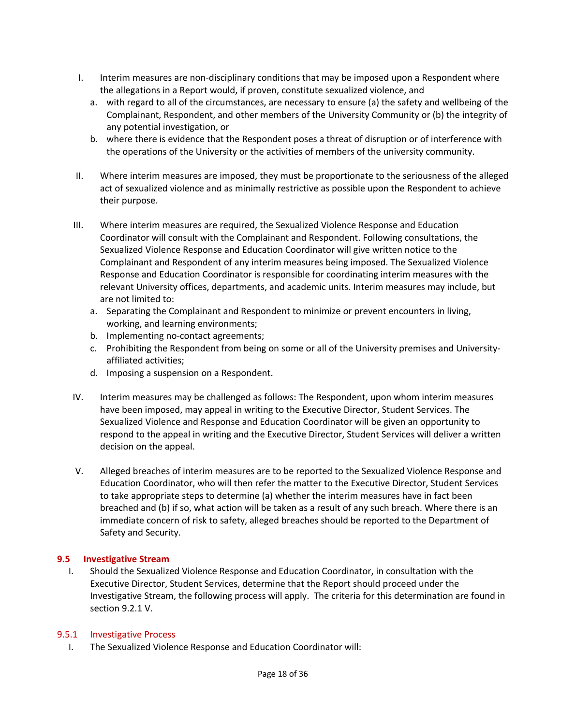- I. Interim measures are non-disciplinary conditions that may be imposed upon a Respondent where the allegations in a Report would, if proven, constitute sexualized violence, and
	- a. with regard to all of the circumstances, are necessary to ensure (a) the safety and wellbeing of the Complainant, Respondent, and other members of the University Community or (b) the integrity of any potential investigation, or
	- b. where there is evidence that the Respondent poses a threat of disruption or of interference with the operations of the University or the activities of members of the university community.
- II. Where interim measures are imposed, they must be proportionate to the seriousness of the alleged act of sexualized violence and as minimally restrictive as possible upon the Respondent to achieve their purpose.
- III. Where interim measures are required, the Sexualized Violence Response and Education Coordinator will consult with the Complainant and Respondent. Following consultations, the Sexualized Violence Response and Education Coordinator will give written notice to the Complainant and Respondent of any interim measures being imposed. The Sexualized Violence Response and Education Coordinator is responsible for coordinating interim measures with the relevant University offices, departments, and academic units. Interim measures may include, but are not limited to:
	- a. Separating the Complainant and Respondent to minimize or prevent encounters in living, working, and learning environments;
	- b. Implementing no-contact agreements;
	- c. Prohibiting the Respondent from being on some or all of the University premises and Universityaffiliated activities;
	- d. Imposing a suspension on a Respondent.
- IV. Interim measures may be challenged as follows: The Respondent, upon whom interim measures have been imposed, may appeal in writing to the Executive Director, Student Services. The Sexualized Violence and Response and Education Coordinator will be given an opportunity to respond to the appeal in writing and the Executive Director, Student Services will deliver a written decision on the appeal.
- V. Alleged breaches of interim measures are to be reported to the Sexualized Violence Response and Education Coordinator, who will then refer the matter to the Executive Director, Student Services to take appropriate steps to determine (a) whether the interim measures have in fact been breached and (b) if so, what action will be taken as a result of any such breach. Where there is an immediate concern of risk to safety, alleged breaches should be reported to the Department of Safety and Security.

# **9.5 Investigative Stream**

I. Should the Sexualized Violence Response and Education Coordinator, in consultation with the Executive Director, Student Services, determine that the Report should proceed under the Investigative Stream, the following process will apply. The criteria for this determination are found in section 9.2.1 V.

# 9.5.1 Investigative Process

I. The Sexualized Violence Response and Education Coordinator will: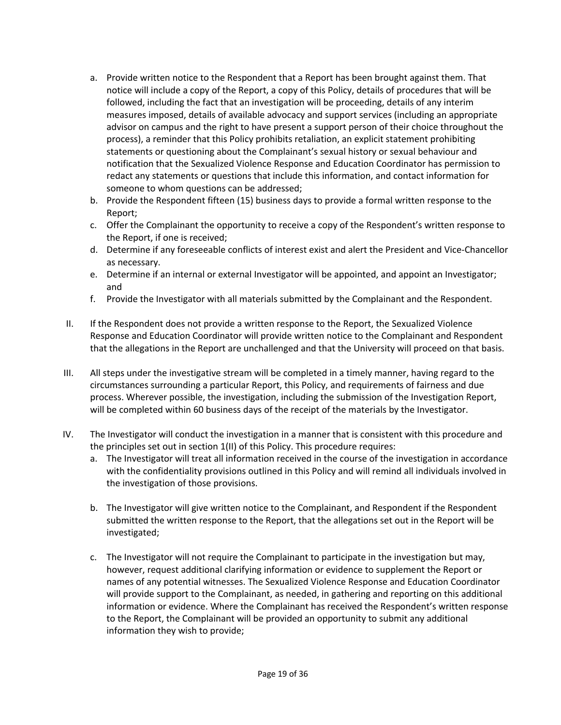- a. Provide written notice to the Respondent that a Report has been brought against them. That notice will include a copy of the Report, a copy of this Policy, details of procedures that will be followed, including the fact that an investigation will be proceeding, details of any interim measures imposed, details of available advocacy and support services (including an appropriate advisor on campus and the right to have present a support person of their choice throughout the process), a reminder that this Policy prohibits retaliation, an explicit statement prohibiting statements or questioning about the Complainant's sexual history or sexual behaviour and notification that the Sexualized Violence Response and Education Coordinator has permission to redact any statements or questions that include this information, and contact information for someone to whom questions can be addressed;
- b. Provide the Respondent fifteen (15) business days to provide a formal written response to the Report;
- c. Offer the Complainant the opportunity to receive a copy of the Respondent's written response to the Report, if one is received;
- d. Determine if any foreseeable conflicts of interest exist and alert the President and Vice-Chancellor as necessary.
- e. Determine if an internal or external Investigator will be appointed, and appoint an Investigator; and
- f. Provide the Investigator with all materials submitted by the Complainant and the Respondent.
- II. If the Respondent does not provide a written response to the Report, the Sexualized Violence Response and Education Coordinator will provide written notice to the Complainant and Respondent that the allegations in the Report are unchallenged and that the University will proceed on that basis.
- III. All steps under the investigative stream will be completed in a timely manner, having regard to the circumstances surrounding a particular Report, this Policy, and requirements of fairness and due process. Wherever possible, the investigation, including the submission of the Investigation Report, will be completed within 60 business days of the receipt of the materials by the Investigator.
- IV. The Investigator will conduct the investigation in a manner that is consistent with this procedure and the principles set out in section 1(II) of this Policy. This procedure requires:
	- a. The Investigator will treat all information received in the course of the investigation in accordance with the confidentiality provisions outlined in this Policy and will remind all individuals involved in the investigation of those provisions.
	- b. The Investigator will give written notice to the Complainant, and Respondent if the Respondent submitted the written response to the Report, that the allegations set out in the Report will be investigated;
	- c. The Investigator will not require the Complainant to participate in the investigation but may, however, request additional clarifying information or evidence to supplement the Report or names of any potential witnesses. The Sexualized Violence Response and Education Coordinator will provide support to the Complainant, as needed, in gathering and reporting on this additional information or evidence. Where the Complainant has received the Respondent's written response to the Report, the Complainant will be provided an opportunity to submit any additional information they wish to provide;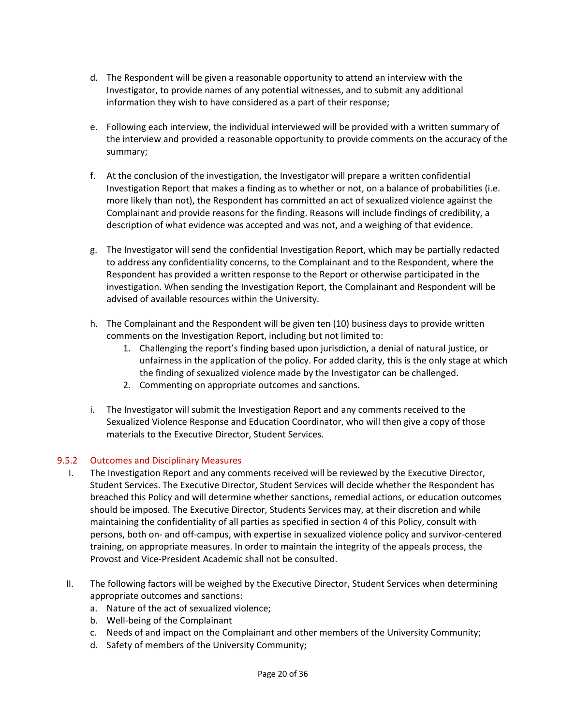- d. The Respondent will be given a reasonable opportunity to attend an interview with the Investigator, to provide names of any potential witnesses, and to submit any additional information they wish to have considered as a part of their response;
- e. Following each interview, the individual interviewed will be provided with a written summary of the interview and provided a reasonable opportunity to provide comments on the accuracy of the summary;
- f. At the conclusion of the investigation, the Investigator will prepare a written confidential Investigation Report that makes a finding as to whether or not, on a balance of probabilities (i.e. more likely than not), the Respondent has committed an act of sexualized violence against the Complainant and provide reasons for the finding. Reasons will include findings of credibility, a description of what evidence was accepted and was not, and a weighing of that evidence.
- g. The Investigator will send the confidential Investigation Report, which may be partially redacted to address any confidentiality concerns, to the Complainant and to the Respondent, where the Respondent has provided a written response to the Report or otherwise participated in the investigation. When sending the Investigation Report, the Complainant and Respondent will be advised of available resources within the University.
- h. The Complainant and the Respondent will be given ten (10) business days to provide written comments on the Investigation Report, including but not limited to:
	- 1. Challenging the report's finding based upon jurisdiction, a denial of natural justice, or unfairness in the application of the policy. For added clarity, this is the only stage at which the finding of sexualized violence made by the Investigator can be challenged.
	- 2. Commenting on appropriate outcomes and sanctions.
- i. The Investigator will submit the Investigation Report and any comments received to the Sexualized Violence Response and Education Coordinator, who will then give a copy of those materials to the Executive Director, Student Services.

# 9.5.2 Outcomes and Disciplinary Measures

- I. The Investigation Report and any comments received will be reviewed by the Executive Director, Student Services. The Executive Director, Student Services will decide whether the Respondent has breached this Policy and will determine whether sanctions, remedial actions, or education outcomes should be imposed. The Executive Director, Students Services may, at their discretion and while maintaining the confidentiality of all parties as specified in section 4 of this Policy, consult with persons, both on- and off-campus, with expertise in sexualized violence policy and survivor-centered training, on appropriate measures. In order to maintain the integrity of the appeals process, the Provost and Vice-President Academic shall not be consulted.
- II. The following factors will be weighed by the Executive Director, Student Services when determining appropriate outcomes and sanctions:
	- a. Nature of the act of sexualized violence;
	- b. Well-being of the Complainant
	- c. Needs of and impact on the Complainant and other members of the University Community;
	- d. Safety of members of the University Community;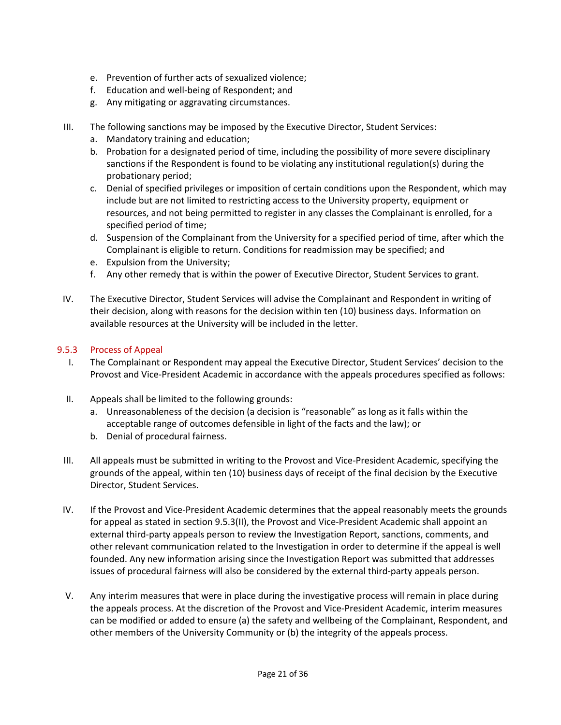- e. Prevention of further acts of sexualized violence;
- f. Education and well-being of Respondent; and
- g. Any mitigating or aggravating circumstances.
- III. The following sanctions may be imposed by the Executive Director, Student Services:
	- a. Mandatory training and education;
	- b. Probation for a designated period of time, including the possibility of more severe disciplinary sanctions if the Respondent is found to be violating any institutional regulation(s) during the probationary period;
	- c. Denial of specified privileges or imposition of certain conditions upon the Respondent, which may include but are not limited to restricting access to the University property, equipment or resources, and not being permitted to register in any classes the Complainant is enrolled, for a specified period of time;
	- d. Suspension of the Complainant from the University for a specified period of time, after which the Complainant is eligible to return. Conditions for readmission may be specified; and
	- e. Expulsion from the University;
	- f. Any other remedy that is within the power of Executive Director, Student Services to grant.
- IV. The Executive Director, Student Services will advise the Complainant and Respondent in writing of their decision, along with reasons for the decision within ten (10) business days. Information on available resources at the University will be included in the letter.

### 9.5.3 Process of Appeal

- I. The Complainant or Respondent may appeal the Executive Director, Student Services' decision to the Provost and Vice-President Academic in accordance with the appeals procedures specified as follows:
- II. Appeals shall be limited to the following grounds:
	- a. Unreasonableness of the decision (a decision is "reasonable" as long as it falls within the acceptable range of outcomes defensible in light of the facts and the law); or
	- b. Denial of procedural fairness.
- III. All appeals must be submitted in writing to the Provost and Vice-President Academic, specifying the grounds of the appeal, within ten (10) business days of receipt of the final decision by the Executive Director, Student Services.
- IV. If the Provost and Vice-President Academic determines that the appeal reasonably meets the grounds for appeal as stated in section 9.5.3(II), the Provost and Vice-President Academic shall appoint an external third-party appeals person to review the Investigation Report, sanctions, comments, and other relevant communication related to the Investigation in order to determine if the appeal is well founded. Any new information arising since the Investigation Report was submitted that addresses issues of procedural fairness will also be considered by the external third-party appeals person.
- V. Any interim measures that were in place during the investigative process will remain in place during the appeals process. At the discretion of the Provost and Vice-President Academic, interim measures can be modified or added to ensure (a) the safety and wellbeing of the Complainant, Respondent, and other members of the University Community or (b) the integrity of the appeals process.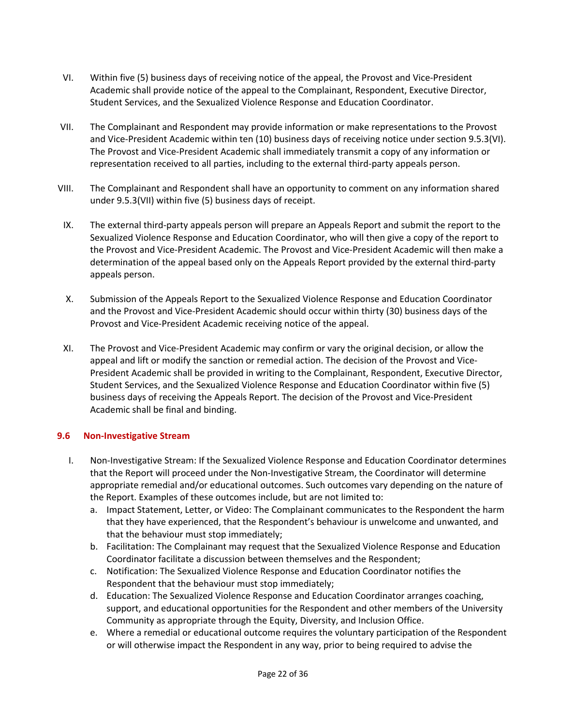- VI. Within five (5) business days of receiving notice of the appeal, the Provost and Vice-President Academic shall provide notice of the appeal to the Complainant, Respondent, Executive Director, Student Services, and the Sexualized Violence Response and Education Coordinator.
- VII. The Complainant and Respondent may provide information or make representations to the Provost and Vice-President Academic within ten (10) business days of receiving notice under section 9.5.3(VI). The Provost and Vice-President Academic shall immediately transmit a copy of any information or representation received to all parties, including to the external third-party appeals person.
- VIII. The Complainant and Respondent shall have an opportunity to comment on any information shared under 9.5.3(VII) within five (5) business days of receipt.
- IX. The external third-party appeals person will prepare an Appeals Report and submit the report to the Sexualized Violence Response and Education Coordinator, who will then give a copy of the report to the Provost and Vice-President Academic. The Provost and Vice-President Academic will then make a determination of the appeal based only on the Appeals Report provided by the external third-party appeals person.
- X. Submission of the Appeals Report to the Sexualized Violence Response and Education Coordinator and the Provost and Vice-President Academic should occur within thirty (30) business days of the Provost and Vice-President Academic receiving notice of the appeal.
- XI. The Provost and Vice-President Academic may confirm or vary the original decision, or allow the appeal and lift or modify the sanction or remedial action. The decision of the Provost and Vice-President Academic shall be provided in writing to the Complainant, Respondent, Executive Director, Student Services, and the Sexualized Violence Response and Education Coordinator within five (5) business days of receiving the Appeals Report. The decision of the Provost and Vice-President Academic shall be final and binding.

# **9.6 Non-Investigative Stream**

- I. Non-Investigative Stream: If the Sexualized Violence Response and Education Coordinator determines that the Report will proceed under the Non-Investigative Stream, the Coordinator will determine appropriate remedial and/or educational outcomes. Such outcomes vary depending on the nature of the Report. Examples of these outcomes include, but are not limited to:
	- a. Impact Statement, Letter, or Video: The Complainant communicates to the Respondent the harm that they have experienced, that the Respondent's behaviour is unwelcome and unwanted, and that the behaviour must stop immediately;
	- b. Facilitation: The Complainant may request that the Sexualized Violence Response and Education Coordinator facilitate a discussion between themselves and the Respondent;
	- c. Notification: The Sexualized Violence Response and Education Coordinator notifies the Respondent that the behaviour must stop immediately;
	- d. Education: The Sexualized Violence Response and Education Coordinator arranges coaching, support, and educational opportunities for the Respondent and other members of the University Community as appropriate through the Equity, Diversity, and Inclusion Office.
	- e. Where a remedial or educational outcome requires the voluntary participation of the Respondent or will otherwise impact the Respondent in any way, prior to being required to advise the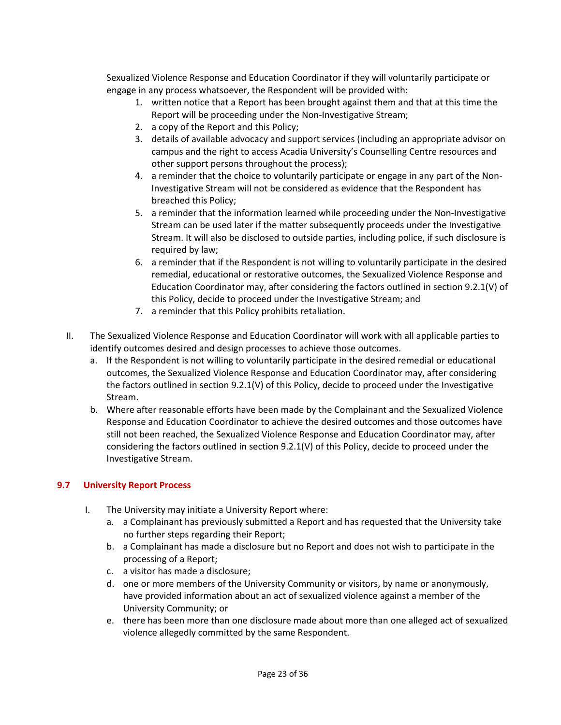Sexualized Violence Response and Education Coordinator if they will voluntarily participate or engage in any process whatsoever, the Respondent will be provided with:

- 1. written notice that a Report has been brought against them and that at this time the Report will be proceeding under the Non-Investigative Stream;
- 2. a copy of the Report and this Policy;
- 3. details of available advocacy and support services (including an appropriate advisor on campus and the right to access Acadia University's Counselling Centre resources and other support persons throughout the process);
- 4. a reminder that the choice to voluntarily participate or engage in any part of the Non-Investigative Stream will not be considered as evidence that the Respondent has breached this Policy;
- 5. a reminder that the information learned while proceeding under the Non-Investigative Stream can be used later if the matter subsequently proceeds under the Investigative Stream. It will also be disclosed to outside parties, including police, if such disclosure is required by law;
- 6. a reminder that if the Respondent is not willing to voluntarily participate in the desired remedial, educational or restorative outcomes, the Sexualized Violence Response and Education Coordinator may, after considering the factors outlined in section 9.2.1(V) of this Policy, decide to proceed under the Investigative Stream; and
- 7. a reminder that this Policy prohibits retaliation.
- II. The Sexualized Violence Response and Education Coordinator will work with all applicable parties to identify outcomes desired and design processes to achieve those outcomes.
	- a. If the Respondent is not willing to voluntarily participate in the desired remedial or educational outcomes, the Sexualized Violence Response and Education Coordinator may, after considering the factors outlined in section 9.2.1(V) of this Policy, decide to proceed under the Investigative Stream.
	- b. Where after reasonable efforts have been made by the Complainant and the Sexualized Violence Response and Education Coordinator to achieve the desired outcomes and those outcomes have still not been reached, the Sexualized Violence Response and Education Coordinator may, after considering the factors outlined in section 9.2.1(V) of this Policy, decide to proceed under the Investigative Stream.

# **9.7 University Report Process**

- I. The University may initiate a University Report where:
	- a. a Complainant has previously submitted a Report and has requested that the University take no further steps regarding their Report;
	- b. a Complainant has made a disclosure but no Report and does not wish to participate in the processing of a Report;
	- c. a visitor has made a disclosure;
	- d. one or more members of the University Community or visitors, by name or anonymously, have provided information about an act of sexualized violence against a member of the University Community; or
	- e. there has been more than one disclosure made about more than one alleged act of sexualized violence allegedly committed by the same Respondent.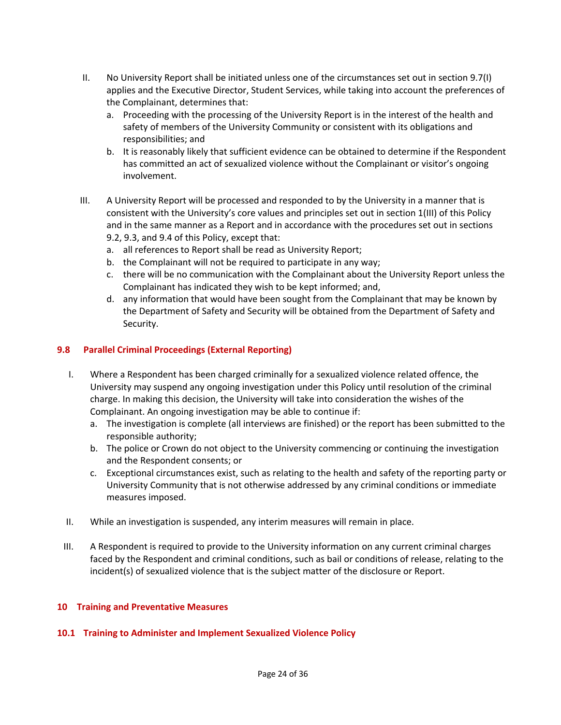- II. No University Report shall be initiated unless one of the circumstances set out in section 9.7(I) applies and the Executive Director, Student Services, while taking into account the preferences of the Complainant, determines that:
	- a. Proceeding with the processing of the University Report is in the interest of the health and safety of members of the University Community or consistent with its obligations and responsibilities; and
	- b. It is reasonably likely that sufficient evidence can be obtained to determine if the Respondent has committed an act of sexualized violence without the Complainant or visitor's ongoing involvement.
- III. A University Report will be processed and responded to by the University in a manner that is consistent with the University's core values and principles set out in section 1(III) of this Policy and in the same manner as a Report and in accordance with the procedures set out in sections 9.2, 9.3, and 9.4 of this Policy, except that:
	- a. all references to Report shall be read as University Report;
	- b. the Complainant will not be required to participate in any way;
	- c. there will be no communication with the Complainant about the University Report unless the Complainant has indicated they wish to be kept informed; and,
	- d. any information that would have been sought from the Complainant that may be known by the Department of Safety and Security will be obtained from the Department of Safety and Security.

### **9.8 Parallel Criminal Proceedings (External Reporting)**

- I. Where a Respondent has been charged criminally for a sexualized violence related offence, the University may suspend any ongoing investigation under this Policy until resolution of the criminal charge. In making this decision, the University will take into consideration the wishes of the Complainant. An ongoing investigation may be able to continue if:
	- a. The investigation is complete (all interviews are finished) or the report has been submitted to the responsible authority;
	- b. The police or Crown do not object to the University commencing or continuing the investigation and the Respondent consents; or
	- c. Exceptional circumstances exist, such as relating to the health and safety of the reporting party or University Community that is not otherwise addressed by any criminal conditions or immediate measures imposed.
- II. While an investigation is suspended, any interim measures will remain in place.
- III. A Respondent is required to provide to the University information on any current criminal charges faced by the Respondent and criminal conditions, such as bail or conditions of release, relating to the incident(s) of sexualized violence that is the subject matter of the disclosure or Report.

#### **10 Training and Preventative Measures**

#### **10.1 Training to Administer and Implement Sexualized Violence Policy**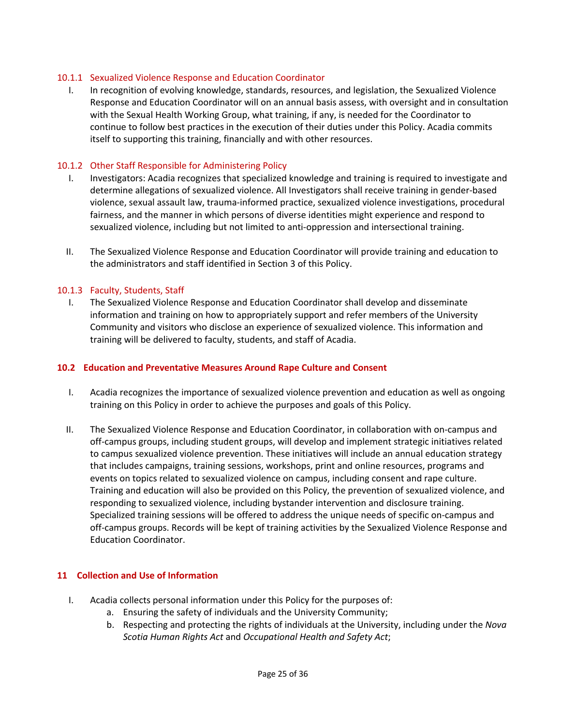### 10.1.1 Sexualized Violence Response and Education Coordinator

I. In recognition of evolving knowledge, standards, resources, and legislation, the Sexualized Violence Response and Education Coordinator will on an annual basis assess, with oversight and in consultation with the Sexual Health Working Group, what training, if any, is needed for the Coordinator to continue to follow best practices in the execution of their duties under this Policy. Acadia commits itself to supporting this training, financially and with other resources.

### 10.1.2 Other Staff Responsible for Administering Policy

- I. Investigators: Acadia recognizes that specialized knowledge and training is required to investigate and determine allegations of sexualized violence. All Investigators shall receive training in gender-based violence, sexual assault law, trauma-informed practice, sexualized violence investigations, procedural fairness, and the manner in which persons of diverse identities might experience and respond to sexualized violence, including but not limited to anti-oppression and intersectional training.
- II. The Sexualized Violence Response and Education Coordinator will provide training and education to the administrators and staff identified in Section 3 of this Policy.

#### 10.1.3 Faculty, Students, Staff

I. The Sexualized Violence Response and Education Coordinator shall develop and disseminate information and training on how to appropriately support and refer members of the University Community and visitors who disclose an experience of sexualized violence. This information and training will be delivered to faculty, students, and staff of Acadia.

#### **10.2 Education and Preventative Measures Around Rape Culture and Consent**

- I. Acadia recognizes the importance of sexualized violence prevention and education as well as ongoing training on this Policy in order to achieve the purposes and goals of this Policy.
- II. The Sexualized Violence Response and Education Coordinator, in collaboration with on-campus and off-campus groups, including student groups, will develop and implement strategic initiatives related to campus sexualized violence prevention. These initiatives will include an annual education strategy that includes campaigns, training sessions, workshops, print and online resources, programs and events on topics related to sexualized violence on campus, including consent and rape culture. Training and education will also be provided on this Policy, the prevention of sexualized violence, and responding to sexualized violence, including bystander intervention and disclosure training. Specialized training sessions will be offered to address the unique needs of specific on-campus and off-campus groups. Records will be kept of training activities by the Sexualized Violence Response and Education Coordinator.

#### **11 Collection and Use of Information**

- I. Acadia collects personal information under this Policy for the purposes of:
	- a. Ensuring the safety of individuals and the University Community;
	- b. Respecting and protecting the rights of individuals at the University, including under the *Nova Scotia Human Rights Act* and *Occupational Health and Safety Act*;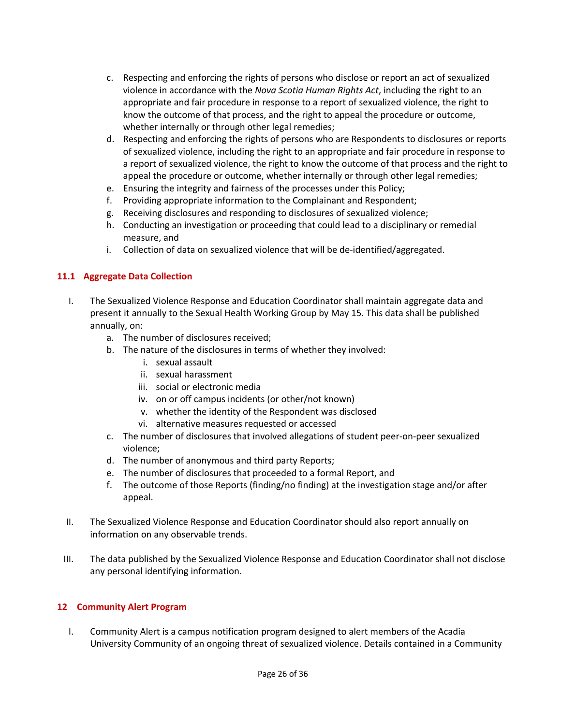- c. Respecting and enforcing the rights of persons who disclose or report an act of sexualized violence in accordance with the *Nova Scotia Human Rights Act*, including the right to an appropriate and fair procedure in response to a report of sexualized violence, the right to know the outcome of that process, and the right to appeal the procedure or outcome, whether internally or through other legal remedies;
- d. Respecting and enforcing the rights of persons who are Respondents to disclosures or reports of sexualized violence, including the right to an appropriate and fair procedure in response to a report of sexualized violence, the right to know the outcome of that process and the right to appeal the procedure or outcome, whether internally or through other legal remedies;
- e. Ensuring the integrity and fairness of the processes under this Policy;
- f. Providing appropriate information to the Complainant and Respondent;
- g. Receiving disclosures and responding to disclosures of sexualized violence;
- h. Conducting an investigation or proceeding that could lead to a disciplinary or remedial measure, and
- i. Collection of data on sexualized violence that will be de-identified/aggregated.

### **11.1 Aggregate Data Collection**

- I. The Sexualized Violence Response and Education Coordinator shall maintain aggregate data and present it annually to the Sexual Health Working Group by May 15. This data shall be published annually, on:
	- a. The number of disclosures received;
	- b. The nature of the disclosures in terms of whether they involved:
		- i. sexual assault
		- ii. sexual harassment
		- iii. social or electronic media
		- iv. on or off campus incidents (or other/not known)
		- v. whether the identity of the Respondent was disclosed
		- vi. alternative measures requested or accessed
	- c. The number of disclosures that involved allegations of student peer-on-peer sexualized violence;
	- d. The number of anonymous and third party Reports;
	- e. The number of disclosures that proceeded to a formal Report, and
	- f. The outcome of those Reports (finding/no finding) at the investigation stage and/or after appeal.
- II. The Sexualized Violence Response and Education Coordinator should also report annually on information on any observable trends.
- III. The data published by the Sexualized Violence Response and Education Coordinator shall not disclose any personal identifying information.

#### **12 Community Alert Program**

I. Community Alert is a campus notification program designed to alert members of the Acadia University Community of an ongoing threat of sexualized violence. Details contained in a Community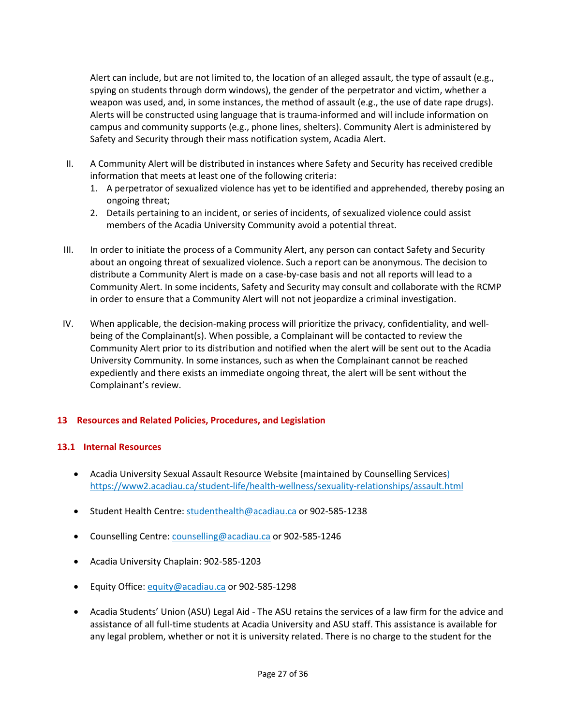Alert can include, but are not limited to, the location of an alleged assault, the type of assault (e.g., spying on students through dorm windows), the gender of the perpetrator and victim, whether a weapon was used, and, in some instances, the method of assault (e.g., the use of date rape drugs). Alerts will be constructed using language that is trauma-informed and will include information on campus and community supports (e.g., phone lines, shelters). Community Alert is administered by Safety and Security through their mass notification system, Acadia Alert.

- II. A Community Alert will be distributed in instances where Safety and Security has received credible information that meets at least one of the following criteria:
	- 1. A perpetrator of sexualized violence has yet to be identified and apprehended, thereby posing an ongoing threat;
	- 2. Details pertaining to an incident, or series of incidents, of sexualized violence could assist members of the Acadia University Community avoid a potential threat.
- III. In order to initiate the process of a Community Alert, any person can contact Safety and Security about an ongoing threat of sexualized violence. Such a report can be anonymous. The decision to distribute a Community Alert is made on a case-by-case basis and not all reports will lead to a Community Alert. In some incidents, Safety and Security may consult and collaborate with the RCMP in order to ensure that a Community Alert will not not jeopardize a criminal investigation.
- IV. When applicable, the decision-making process will prioritize the privacy, confidentiality, and wellbeing of the Complainant(s). When possible, a Complainant will be contacted to review the Community Alert prior to its distribution and notified when the alert will be sent out to the Acadia University Community. In some instances, such as when the Complainant cannot be reached expediently and there exists an immediate ongoing threat, the alert will be sent without the Complainant's review.

# **13 Resources and Related Policies, Procedures, and Legislation**

#### **13.1 Internal Resources**

- Acadia University Sexual Assault Resource Website (maintained by Counselling Services) https://www2.acadiau.ca/student-life/health-wellness/sexuality-relationships/assault.html
- Student Health Centre: studenthealth@acadiau.ca or 902-585-1238
- Counselling Centre: counselling@acadiau.ca or 902-585-1246
- Acadia University Chaplain: 902-585-1203
- Equity Office: equity@acadiau.ca or 902-585-1298
- Acadia Students' Union (ASU) Legal Aid The ASU retains the services of a law firm for the advice and assistance of all full-time students at Acadia University and ASU staff. This assistance is available for any legal problem, whether or not it is university related. There is no charge to the student for the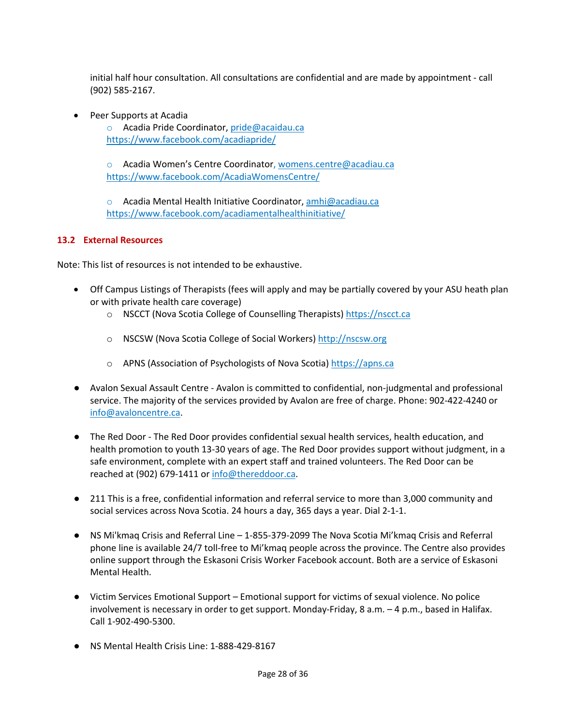initial half hour consultation. All consultations are confidential and are made by appointment - call (902) 585-2167.

• Peer Supports at Acadia

o Acadia Pride Coordinator, pride@acaidau.ca https://www.facebook.com/acadiapride/

o Acadia Women's Centre Coordinator, womens.centre@acadiau.ca https://www.facebook.com/AcadiaWomensCentre/

o Acadia Mental Health Initiative Coordinator, amhi@acadiau.ca https://www.facebook.com/acadiamentalhealthinitiative/

# **13.2 External Resources**

Note: This list of resources is not intended to be exhaustive.

- Off Campus Listings of Therapists (fees will apply and may be partially covered by your ASU heath plan or with private health care coverage)
	- o NSCCT (Nova Scotia College of Counselling Therapists) https://nscct.ca
	- o NSCSW (Nova Scotia College of Social Workers) http://nscsw.org
	- o APNS (Association of Psychologists of Nova Scotia) https://apns.ca
- Avalon Sexual Assault Centre Avalon is committed to confidential, non-judgmental and professional service. The majority of the services provided by Avalon are free of charge. Phone: 902-422-4240 or info@avaloncentre.ca.
- The Red Door The Red Door provides confidential sexual health services, health education, and health promotion to youth 13-30 years of age. The Red Door provides support without judgment, in a safe environment, complete with an expert staff and trained volunteers. The Red Door can be reached at (902) 679-1411 or info@thereddoor.ca.
- 211 This is a free, confidential information and referral service to more than 3,000 community and social services across Nova Scotia. 24 hours a day, 365 days a year. Dial 2-1-1.
- NS Mi'kmaq Crisis and Referral Line 1-855-379-2099 The Nova Scotia Mi'kmaq Crisis and Referral phone line is available 24/7 toll-free to Mi'kmaq people across the province. The Centre also provides online support through the Eskasoni Crisis Worker Facebook account. Both are a service of Eskasoni Mental Health.
- Victim Services Emotional Support Emotional support for victims of sexual violence. No police involvement is necessary in order to get support. Monday-Friday, 8 a.m. – 4 p.m., based in Halifax. Call 1-902-490-5300.
- NS Mental Health Crisis Line: 1-888-429-8167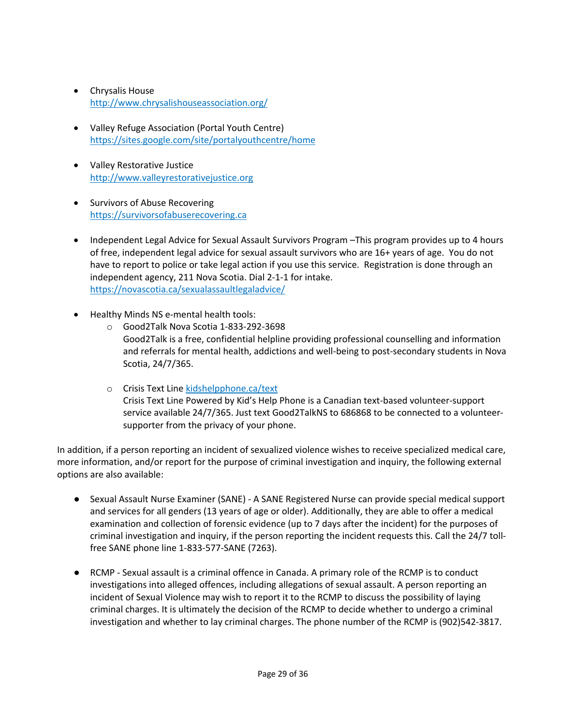- Chrysalis House http://www.chrysalishouseassociation.org/
- Valley Refuge Association (Portal Youth Centre) https://sites.google.com/site/portalyouthcentre/home
- Valley Restorative Justice http://www.valleyrestorativejustice.org
- Survivors of Abuse Recovering https://survivorsofabuserecovering.ca
- Independent Legal Advice for Sexual Assault Survivors Program –This program provides up to 4 hours of free, independent legal advice for sexual assault survivors who are 16+ years of age. You do not have to report to police or take legal action if you use this service. Registration is done through an independent agency, 211 Nova Scotia. Dial 2-1-1 for intake. https://novascotia.ca/sexualassaultlegaladvice/
- Healthy Minds NS e-mental health tools:
	- o Good2Talk Nova Scotia 1-833-292-3698 Good2Talk is a free, confidential helpline providing professional counselling and information and referrals for mental health, addictions and well-being to post-secondary students in Nova Scotia, 24/7/365.
	- o Crisis Text Line kidshelpphone.ca/text Crisis Text Line Powered by Kid's Help Phone is a Canadian text-based volunteer-support service available 24/7/365. Just text Good2TalkNS to 686868 to be connected to a volunteersupporter from the privacy of your phone.

In addition, if a person reporting an incident of sexualized violence wishes to receive specialized medical care, more information, and/or report for the purpose of criminal investigation and inquiry, the following external options are also available:

- Sexual Assault Nurse Examiner (SANE) A SANE Registered Nurse can provide special medical support and services for all genders (13 years of age or older). Additionally, they are able to offer a medical examination and collection of forensic evidence (up to 7 days after the incident) for the purposes of criminal investigation and inquiry, if the person reporting the incident requests this. Call the 24/7 tollfree SANE phone line 1-833-577-SANE (7263).
- RCMP Sexual assault is a criminal offence in Canada. A primary role of the RCMP is to conduct investigations into alleged offences, including allegations of sexual assault. A person reporting an incident of Sexual Violence may wish to report it to the RCMP to discuss the possibility of laying criminal charges. It is ultimately the decision of the RCMP to decide whether to undergo a criminal investigation and whether to lay criminal charges. The phone number of the RCMP is (902)542-3817.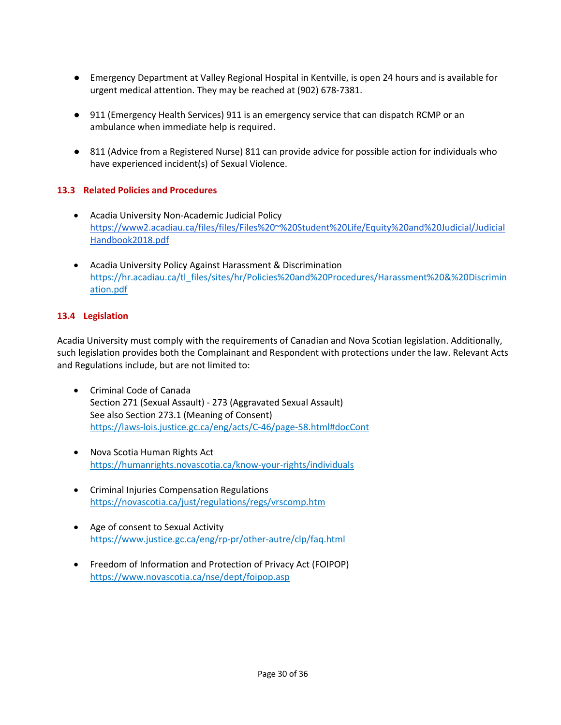- Emergency Department at Valley Regional Hospital in Kentville, is open 24 hours and is available for urgent medical attention. They may be reached at (902) 678-7381.
- 911 (Emergency Health Services) 911 is an emergency service that can dispatch RCMP or an ambulance when immediate help is required.
- 811 (Advice from a Registered Nurse) 811 can provide advice for possible action for individuals who have experienced incident(s) of Sexual Violence.

# **13.3 Related Policies and Procedures**

- Acadia University Non-Academic Judicial Policy https://www2.acadiau.ca/files/files/Files%20~%20Student%20Life/Equity%20and%20Judicial/Judicial Handbook2018.pdf
- Acadia University Policy Against Harassment & Discrimination https://hr.acadiau.ca/tl\_files/sites/hr/Policies%20and%20Procedures/Harassment%20&%20Discrimin ation.pdf

### **13.4 Legislation**

Acadia University must comply with the requirements of Canadian and Nova Scotian legislation. Additionally, such legislation provides both the Complainant and Respondent with protections under the law. Relevant Acts and Regulations include, but are not limited to:

- Criminal Code of Canada Section 271 (Sexual Assault) - 273 (Aggravated Sexual Assault) See also Section 273.1 (Meaning of Consent) https://laws-lois.justice.gc.ca/eng/acts/C-46/page-58.html#docCont
- Nova Scotia Human Rights Act https://humanrights.novascotia.ca/know-your-rights/individuals
- Criminal Injuries Compensation Regulations https://novascotia.ca/just/regulations/regs/vrscomp.htm
- Age of consent to Sexual Activity https://www.justice.gc.ca/eng/rp-pr/other-autre/clp/faq.html
- Freedom of Information and Protection of Privacy Act (FOIPOP) https://www.novascotia.ca/nse/dept/foipop.asp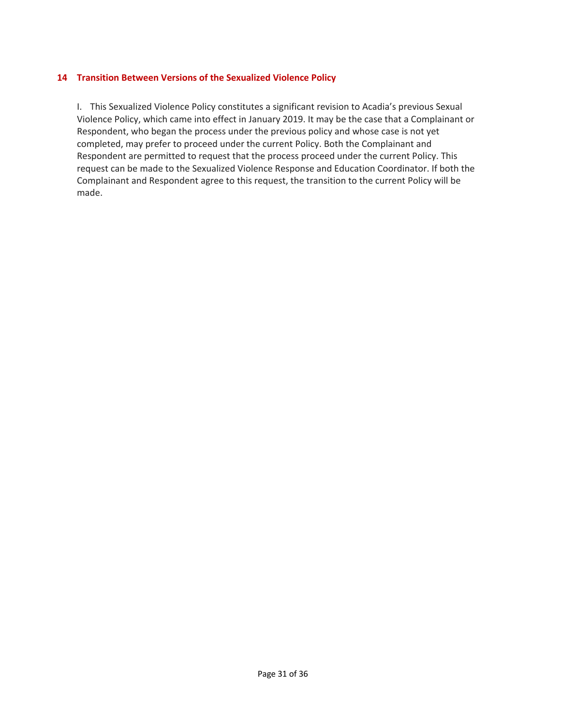### **14 Transition Between Versions of the Sexualized Violence Policy**

I. This Sexualized Violence Policy constitutes a significant revision to Acadia's previous Sexual Violence Policy, which came into effect in January 2019. It may be the case that a Complainant or Respondent, who began the process under the previous policy and whose case is not yet completed, may prefer to proceed under the current Policy. Both the Complainant and Respondent are permitted to request that the process proceed under the current Policy. This request can be made to the Sexualized Violence Response and Education Coordinator. If both the Complainant and Respondent agree to this request, the transition to the current Policy will be made.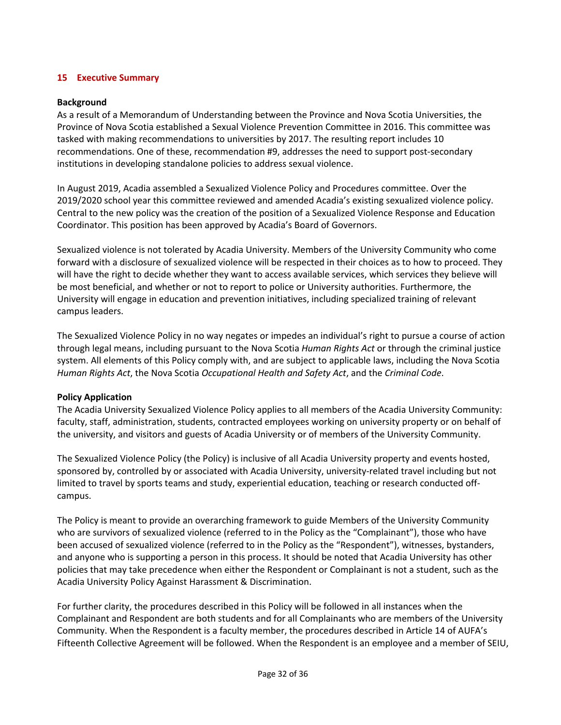# **15 Executive Summary**

#### **Background**

As a result of a Memorandum of Understanding between the Province and Nova Scotia Universities, the Province of Nova Scotia established a Sexual Violence Prevention Committee in 2016. This committee was tasked with making recommendations to universities by 2017. The resulting report includes 10 recommendations. One of these, recommendation #9, addresses the need to support post-secondary institutions in developing standalone policies to address sexual violence.

In August 2019, Acadia assembled a Sexualized Violence Policy and Procedures committee. Over the 2019/2020 school year this committee reviewed and amended Acadia's existing sexualized violence policy. Central to the new policy was the creation of the position of a Sexualized Violence Response and Education Coordinator. This position has been approved by Acadia's Board of Governors.

Sexualized violence is not tolerated by Acadia University. Members of the University Community who come forward with a disclosure of sexualized violence will be respected in their choices as to how to proceed. They will have the right to decide whether they want to access available services, which services they believe will be most beneficial, and whether or not to report to police or University authorities. Furthermore, the University will engage in education and prevention initiatives, including specialized training of relevant campus leaders.

The Sexualized Violence Policy in no way negates or impedes an individual's right to pursue a course of action through legal means, including pursuant to the Nova Scotia *Human Rights Act* or through the criminal justice system. All elements of this Policy comply with, and are subject to applicable laws, including the Nova Scotia *Human Rights Act*, the Nova Scotia *Occupational Health and Safety Act*, and the *Criminal Code*.

#### **Policy Application**

The Acadia University Sexualized Violence Policy applies to all members of the Acadia University Community: faculty, staff, administration, students, contracted employees working on university property or on behalf of the university, and visitors and guests of Acadia University or of members of the University Community.

The Sexualized Violence Policy (the Policy) is inclusive of all Acadia University property and events hosted, sponsored by, controlled by or associated with Acadia University, university-related travel including but not limited to travel by sports teams and study, experiential education, teaching or research conducted offcampus.

The Policy is meant to provide an overarching framework to guide Members of the University Community who are survivors of sexualized violence (referred to in the Policy as the "Complainant"), those who have been accused of sexualized violence (referred to in the Policy as the "Respondent"), witnesses, bystanders, and anyone who is supporting a person in this process. It should be noted that Acadia University has other policies that may take precedence when either the Respondent or Complainant is not a student, such as the Acadia University Policy Against Harassment & Discrimination.

For further clarity, the procedures described in this Policy will be followed in all instances when the Complainant and Respondent are both students and for all Complainants who are members of the University Community. When the Respondent is a faculty member, the procedures described in Article 14 of AUFA's Fifteenth Collective Agreement will be followed. When the Respondent is an employee and a member of SEIU,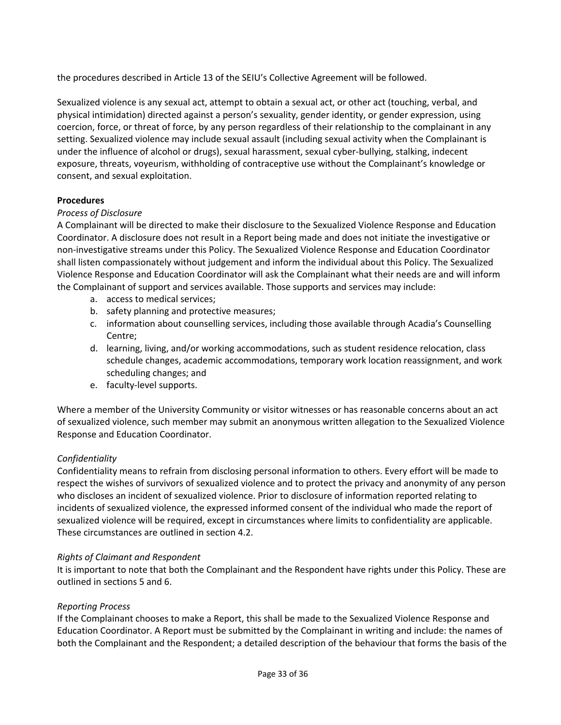the procedures described in Article 13 of the SEIU's Collective Agreement will be followed.

Sexualized violence is any sexual act, attempt to obtain a sexual act, or other act (touching, verbal, and physical intimidation) directed against a person's sexuality, gender identity, or gender expression, using coercion, force, or threat of force, by any person regardless of their relationship to the complainant in any setting. Sexualized violence may include sexual assault (including sexual activity when the Complainant is under the influence of alcohol or drugs), sexual harassment, sexual cyber-bullying, stalking, indecent exposure, threats, voyeurism, withholding of contraceptive use without the Complainant's knowledge or consent, and sexual exploitation.

# **Procedures**

### *Process of Disclosure*

A Complainant will be directed to make their disclosure to the Sexualized Violence Response and Education Coordinator. A disclosure does not result in a Report being made and does not initiate the investigative or non-investigative streams under this Policy. The Sexualized Violence Response and Education Coordinator shall listen compassionately without judgement and inform the individual about this Policy. The Sexualized Violence Response and Education Coordinator will ask the Complainant what their needs are and will inform the Complainant of support and services available. Those supports and services may include:

- a. access to medical services;
- b. safety planning and protective measures;
- c. information about counselling services, including those available through Acadia's Counselling Centre;
- d. learning, living, and/or working accommodations, such as student residence relocation, class schedule changes, academic accommodations, temporary work location reassignment, and work scheduling changes; and
- e. faculty-level supports.

Where a member of the University Community or visitor witnesses or has reasonable concerns about an act of sexualized violence, such member may submit an anonymous written allegation to the Sexualized Violence Response and Education Coordinator.

# *Confidentiality*

Confidentiality means to refrain from disclosing personal information to others. Every effort will be made to respect the wishes of survivors of sexualized violence and to protect the privacy and anonymity of any person who discloses an incident of sexualized violence. Prior to disclosure of information reported relating to incidents of sexualized violence, the expressed informed consent of the individual who made the report of sexualized violence will be required, except in circumstances where limits to confidentiality are applicable. These circumstances are outlined in section 4.2.

#### *Rights of Claimant and Respondent*

It is important to note that both the Complainant and the Respondent have rights under this Policy. These are outlined in sections 5 and 6.

#### *Reporting Process*

If the Complainant chooses to make a Report, this shall be made to the Sexualized Violence Response and Education Coordinator. A Report must be submitted by the Complainant in writing and include: the names of both the Complainant and the Respondent; a detailed description of the behaviour that forms the basis of the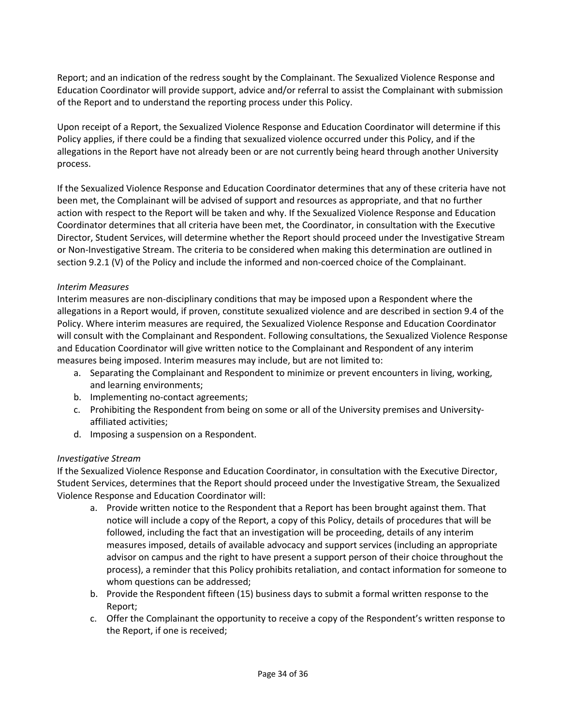Report; and an indication of the redress sought by the Complainant. The Sexualized Violence Response and Education Coordinator will provide support, advice and/or referral to assist the Complainant with submission of the Report and to understand the reporting process under this Policy.

Upon receipt of a Report, the Sexualized Violence Response and Education Coordinator will determine if this Policy applies, if there could be a finding that sexualized violence occurred under this Policy, and if the allegations in the Report have not already been or are not currently being heard through another University process.

If the Sexualized Violence Response and Education Coordinator determines that any of these criteria have not been met, the Complainant will be advised of support and resources as appropriate, and that no further action with respect to the Report will be taken and why. If the Sexualized Violence Response and Education Coordinator determines that all criteria have been met, the Coordinator, in consultation with the Executive Director, Student Services, will determine whether the Report should proceed under the Investigative Stream or Non-Investigative Stream. The criteria to be considered when making this determination are outlined in section 9.2.1 (V) of the Policy and include the informed and non-coerced choice of the Complainant.

### *Interim Measures*

Interim measures are non-disciplinary conditions that may be imposed upon a Respondent where the allegations in a Report would, if proven, constitute sexualized violence and are described in section 9.4 of the Policy. Where interim measures are required, the Sexualized Violence Response and Education Coordinator will consult with the Complainant and Respondent. Following consultations, the Sexualized Violence Response and Education Coordinator will give written notice to the Complainant and Respondent of any interim measures being imposed. Interim measures may include, but are not limited to:

- a. Separating the Complainant and Respondent to minimize or prevent encounters in living, working, and learning environments;
- b. Implementing no-contact agreements;
- c. Prohibiting the Respondent from being on some or all of the University premises and Universityaffiliated activities;
- d. Imposing a suspension on a Respondent.

#### *Investigative Stream*

If the Sexualized Violence Response and Education Coordinator, in consultation with the Executive Director, Student Services, determines that the Report should proceed under the Investigative Stream, the Sexualized Violence Response and Education Coordinator will:

- a. Provide written notice to the Respondent that a Report has been brought against them. That notice will include a copy of the Report, a copy of this Policy, details of procedures that will be followed, including the fact that an investigation will be proceeding, details of any interim measures imposed, details of available advocacy and support services (including an appropriate advisor on campus and the right to have present a support person of their choice throughout the process), a reminder that this Policy prohibits retaliation, and contact information for someone to whom questions can be addressed;
- b. Provide the Respondent fifteen (15) business days to submit a formal written response to the Report;
- c. Offer the Complainant the opportunity to receive a copy of the Respondent's written response to the Report, if one is received;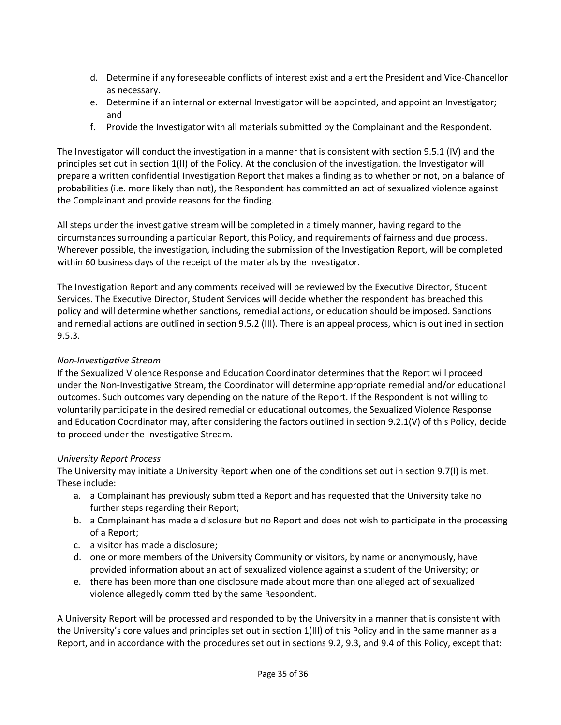- d. Determine if any foreseeable conflicts of interest exist and alert the President and Vice-Chancellor as necessary.
- e. Determine if an internal or external Investigator will be appointed, and appoint an Investigator; and
- f. Provide the Investigator with all materials submitted by the Complainant and the Respondent.

The Investigator will conduct the investigation in a manner that is consistent with section 9.5.1 (IV) and the principles set out in section 1(II) of the Policy. At the conclusion of the investigation, the Investigator will prepare a written confidential Investigation Report that makes a finding as to whether or not, on a balance of probabilities (i.e. more likely than not), the Respondent has committed an act of sexualized violence against the Complainant and provide reasons for the finding.

All steps under the investigative stream will be completed in a timely manner, having regard to the circumstances surrounding a particular Report, this Policy, and requirements of fairness and due process. Wherever possible, the investigation, including the submission of the Investigation Report, will be completed within 60 business days of the receipt of the materials by the Investigator.

The Investigation Report and any comments received will be reviewed by the Executive Director, Student Services. The Executive Director, Student Services will decide whether the respondent has breached this policy and will determine whether sanctions, remedial actions, or education should be imposed. Sanctions and remedial actions are outlined in section 9.5.2 (III). There is an appeal process, which is outlined in section 9.5.3.

### *Non-Investigative Stream*

If the Sexualized Violence Response and Education Coordinator determines that the Report will proceed under the Non-Investigative Stream, the Coordinator will determine appropriate remedial and/or educational outcomes. Such outcomes vary depending on the nature of the Report. If the Respondent is not willing to voluntarily participate in the desired remedial or educational outcomes, the Sexualized Violence Response and Education Coordinator may, after considering the factors outlined in section 9.2.1(V) of this Policy, decide to proceed under the Investigative Stream.

# *University Report Process*

The University may initiate a University Report when one of the conditions set out in section 9.7(I) is met. These include:

- a. a Complainant has previously submitted a Report and has requested that the University take no further steps regarding their Report;
- b. a Complainant has made a disclosure but no Report and does not wish to participate in the processing of a Report;
- c. a visitor has made a disclosure;
- d. one or more members of the University Community or visitors, by name or anonymously, have provided information about an act of sexualized violence against a student of the University; or
- e. there has been more than one disclosure made about more than one alleged act of sexualized violence allegedly committed by the same Respondent.

A University Report will be processed and responded to by the University in a manner that is consistent with the University's core values and principles set out in section 1(III) of this Policy and in the same manner as a Report, and in accordance with the procedures set out in sections 9.2, 9.3, and 9.4 of this Policy, except that: